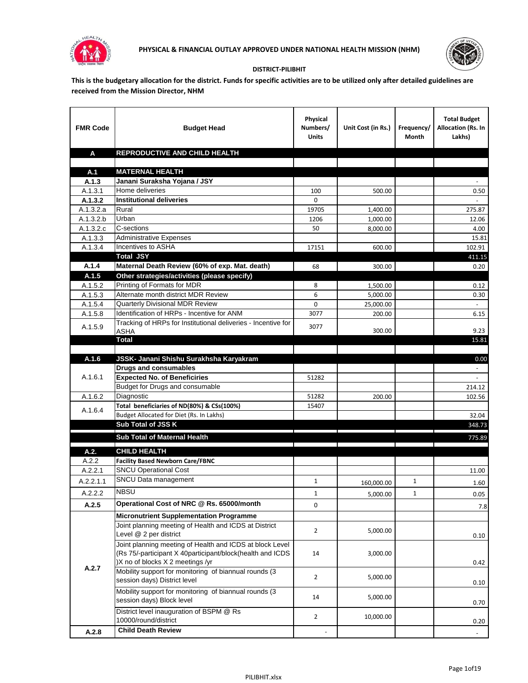



## **DISTRICT-PILIBHIT**

**This is the budgetary allocation for the district. Funds for specific activities are to be utilized only after detailed guidelines are received from the Mission Director, NHM**

| <b>FMR Code</b>        | <b>Budget Head</b>                                            | Physical<br>Numbers/<br><b>Units</b> | Unit Cost (in Rs.)                                               | Frequency/<br>Month | <b>Total Budget</b><br><b>Allocation (Rs. In</b><br>Lakhs) |
|------------------------|---------------------------------------------------------------|--------------------------------------|------------------------------------------------------------------|---------------------|------------------------------------------------------------|
| A                      | REPRODUCTIVE AND CHILD HEALTH                                 |                                      |                                                                  |                     |                                                            |
|                        |                                                               |                                      |                                                                  |                     |                                                            |
| A.1                    | <b>MATERNAL HEALTH</b>                                        |                                      |                                                                  |                     |                                                            |
| A.1.3                  | Janani Suraksha Yojana / JSY                                  |                                      |                                                                  |                     |                                                            |
| A.1.3.1                | Home deliveries                                               | 100                                  | 500.00                                                           |                     | 0.50                                                       |
| A.1.3.2                | <b>Institutional deliveries</b>                               | 0                                    |                                                                  |                     |                                                            |
| A.1.3.2.a              | Rural                                                         | 19705                                | 1,400.00                                                         |                     | 275.87                                                     |
| $\overline{A.1.3.2.b}$ | Urban                                                         | 1206                                 | 1,000.00                                                         |                     | 12.06                                                      |
| A.1.3.2.c              | C-sections<br><b>Administrative Expenses</b>                  | 50                                   | 8,000.00                                                         |                     | 4.00                                                       |
| A.1.3.3                | Incentives to ASHA                                            | 17151                                | 600.00                                                           |                     | 15.81<br>102.91                                            |
| A.1.3.4                | <b>Total JSY</b>                                              |                                      |                                                                  |                     | 411.15                                                     |
| A.1.4                  | Maternal Death Review (60% of exp. Mat. death)                | 68                                   | 300.00                                                           |                     | 0.20                                                       |
| A.1.5                  | Other strategies/activities (please specify)                  |                                      |                                                                  |                     |                                                            |
| A.1.5.2                | Printing of Formats for MDR                                   | 8                                    | 1,500.00                                                         |                     | 0.12                                                       |
| A.1.5.3                | Alternate month district MDR Review                           | 6                                    | 5,000.00                                                         |                     | 0.30                                                       |
| A.1.5.4                | Quarterly Divisional MDR Review                               | 0                                    | 25,000.00                                                        |                     |                                                            |
| A.1.5.8                | Identification of HRPs - Incentive for ANM                    | 3077                                 | 200.00                                                           |                     | 6.15                                                       |
|                        | Tracking of HRPs for Institutional deliveries - Incentive for |                                      |                                                                  |                     |                                                            |
| A.1.5.9                | <b>ASHA</b>                                                   | 3077                                 | 300.00                                                           |                     | 9.23                                                       |
|                        | Total                                                         |                                      |                                                                  |                     | 15.81                                                      |
|                        |                                                               |                                      |                                                                  |                     |                                                            |
| A.1.6                  | JSSK- Janani Shishu Surakhsha Karyakram                       |                                      |                                                                  |                     | 0.00                                                       |
|                        | <b>Drugs and consumables</b>                                  |                                      |                                                                  |                     |                                                            |
| A.1.6.1                | <b>Expected No. of Beneficiries</b>                           | 51282                                |                                                                  |                     | $\sim$                                                     |
|                        | Budget for Drugs and consumable                               |                                      |                                                                  |                     | 214.12                                                     |
| A.1.6.2                | Diagnostic<br>Total beneficiaries of ND(80%) & CSs(100%)      | 51282<br>15407                       | 200.00                                                           |                     | 102.56                                                     |
| A.1.6.4                | Budget Allocated for Diet (Rs. In Lakhs)                      |                                      |                                                                  |                     | 32.04                                                      |
|                        | Sub Total of JSS K                                            |                                      |                                                                  |                     | 348.73                                                     |
|                        |                                                               |                                      |                                                                  |                     |                                                            |
|                        | Sub Total of Maternal Health                                  |                                      | <u> 1989 - Johann Stein, mars an t-Amerikaansk kommunister (</u> |                     | 775.89                                                     |
| A.2.                   | <b>CHILD HEALTH</b>                                           |                                      |                                                                  |                     |                                                            |
| A.2.2                  | <b>Facility Based Newborn Care/FBNC</b>                       |                                      |                                                                  |                     |                                                            |
| A.2.2.1                | <b>SNCU Operational Cost</b>                                  |                                      |                                                                  |                     | 11.00                                                      |
| A.2.2.1.1              | SNCU Data management                                          | $\mathbf{1}$                         | 160,000.00                                                       | 1                   | 1.60                                                       |
| A.2.2.2                | <b>NBSU</b>                                                   | 1                                    | 5,000.00                                                         | 1                   | 0.05                                                       |
| A.2.5                  | Operational Cost of NRC @ Rs. 65000/month                     | 0                                    |                                                                  |                     |                                                            |
|                        | <b>Micronutrient Supplementation Programme</b>                |                                      |                                                                  |                     | 7.8                                                        |
|                        | Joint planning meeting of Health and ICDS at District         |                                      |                                                                  |                     |                                                            |
|                        | Level @ 2 per district                                        | $\overline{2}$                       | 5,000.00                                                         |                     | 0.10                                                       |
|                        | Joint planning meeting of Health and ICDS at block Level      |                                      |                                                                  |                     |                                                            |
|                        | (Rs 75/-participant X 40participant/block(health and ICDS     | 14                                   | 3,000.00                                                         |                     |                                                            |
|                        | )X no of blocks X 2 meetings /yr                              |                                      |                                                                  |                     | 0.42                                                       |
| A.2.7                  | Mobility support for monitoring of biannual rounds (3         |                                      |                                                                  |                     |                                                            |
|                        | session days) District level                                  | $\overline{2}$                       | 5,000.00                                                         |                     | 0.10                                                       |
|                        | Mobility support for monitoring of biannual rounds (3         |                                      |                                                                  |                     |                                                            |
|                        | session days) Block level                                     | 14                                   | 5,000.00                                                         |                     | 0.70                                                       |
|                        | District level inauguration of BSPM @ Rs                      | $\overline{2}$                       |                                                                  |                     |                                                            |
|                        | 10000/round/district                                          |                                      | 10,000.00                                                        |                     | 0.20                                                       |
| A.2.8                  | <b>Child Death Review</b>                                     |                                      |                                                                  |                     | $\overline{\phantom{a}}$                                   |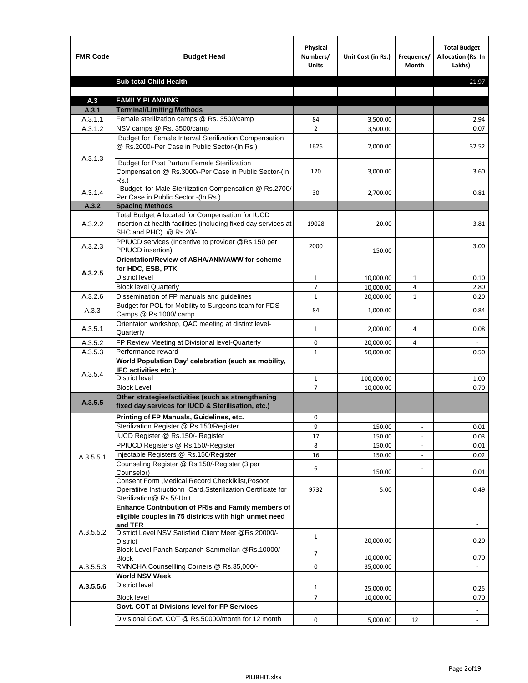| <b>FMR Code</b>    | <b>Budget Head</b>                                                                                                                             | Physical<br>Numbers/<br><b>Units</b> | Unit Cost (in Rs.) | Frequency/<br><b>Month</b> | <b>Total Budget</b><br>Allocation (Rs. In<br>Lakhs) |
|--------------------|------------------------------------------------------------------------------------------------------------------------------------------------|--------------------------------------|--------------------|----------------------------|-----------------------------------------------------|
|                    | <b>Sub-total Child Health</b>                                                                                                                  |                                      |                    |                            | 21.97                                               |
|                    |                                                                                                                                                |                                      |                    |                            |                                                     |
| A.3                | <b>FAMILY PLANNING</b>                                                                                                                         |                                      |                    |                            |                                                     |
| A.3.1              | <b>Terminal/Limiting Methods</b>                                                                                                               |                                      |                    |                            |                                                     |
| A.3.1.1<br>A.3.1.2 | Female sterilization camps @ Rs. 3500/camp<br>NSV camps @ Rs. 3500/camp                                                                        | 84<br>$\overline{2}$                 | 3,500.00           |                            | 2.94<br>0.07                                        |
|                    | Budget for Female Interval Sterilization Compensation                                                                                          |                                      | 3,500.00           |                            |                                                     |
| A.3.1.3            | @ Rs.2000/-Per Case in Public Sector-(In Rs.)                                                                                                  | 1626                                 | 2,000.00           |                            | 32.52                                               |
|                    | <b>Budget for Post Partum Female Sterilization</b><br>Compensation @ Rs.3000/-Per Case in Public Sector-(In<br>$Rs.$ )                         | 120                                  | 3,000.00           |                            | 3.60                                                |
| A.3.1.4            | Budget for Male Sterilization Compensation @ Rs.2700/-<br>Per Case in Public Sector -(In Rs.)                                                  | 30                                   | 2,700.00           |                            | 0.81                                                |
| A.3.2              | <b>Spacing Methods</b>                                                                                                                         |                                      |                    |                            |                                                     |
| A.3.2.2            | Total Budget Allocated for Compensation for IUCD<br>insertion at health facilities (including fixed day services at<br>SHC and PHC) @ Rs 20/-  | 19028                                | 20.00              |                            | 3.81                                                |
| A.3.2.3            | PPIUCD services (Incentive to provider @Rs 150 per<br>PPIUCD insertion)                                                                        | 2000                                 | 150.00             |                            | 3.00                                                |
| A.3.2.5            | Orientation/Review of ASHA/ANM/AWW for scheme<br>for HDC, ESB, PTK                                                                             |                                      |                    |                            |                                                     |
|                    | <b>District level</b>                                                                                                                          | $\mathbf{1}$                         | 10,000.00          | $\mathbf{1}$               | 0.10                                                |
|                    | <b>Block level Quarterly</b>                                                                                                                   | 7                                    | 10,000.00          | 4                          | 2.80                                                |
| A.3.2.6            | Dissemination of FP manuals and guidelines                                                                                                     | $\mathbf{1}$                         | 20,000.00          | $\mathbf{1}$               | 0.20                                                |
| A.3.3              | Budget for POL for Mobility to Surgeons team for FDS<br>Camps @ Rs.1000/ camp                                                                  | 84                                   | 1,000.00           |                            | 0.84                                                |
| A.3.5.1            | Orientaion workshop, QAC meeting at distirct level-<br>Quarterly                                                                               | $\mathbf{1}$                         | 2,000.00           | 4                          | 0.08                                                |
| A.3.5.2            | FP Review Meeting at Divisional level-Quarterly                                                                                                | 0                                    | 20,000.00          | 4                          |                                                     |
| A.3.5.3            | Performance reward                                                                                                                             | $\mathbf{1}$                         | 50,000.00          |                            | 0.50                                                |
| A.3.5.4            | World Population Day' celebration (such as mobility,<br>IEC activities etc.):                                                                  |                                      |                    |                            |                                                     |
|                    | District level                                                                                                                                 | $\mathbf{1}$                         | 100,000.00         |                            | 1.00                                                |
|                    | <b>Block Level</b>                                                                                                                             | $\overline{7}$                       | 10.000.00          |                            | 0.70                                                |
| A.3.5.5            | Other strategies/activities (such as strengthening<br>fixed day services for IUCD & Sterilisation, etc.)                                       |                                      |                    |                            |                                                     |
|                    | Printing of FP Manuals, Guidelines, etc.                                                                                                       | 0                                    |                    |                            |                                                     |
|                    | Sterilization Register @ Rs.150/Register                                                                                                       | 9                                    | 150.00             | $\centerdot$               | 0.01                                                |
|                    | IUCD Register @ Rs.150/- Register                                                                                                              | 17                                   | 150.00             |                            | 0.03                                                |
|                    | PPIUCD Registers @ Rs.150/-Register                                                                                                            | 8                                    | 150.00             |                            | 0.01                                                |
| A.3.5.5.1          | Injectable Registers @ Rs.150/Register                                                                                                         | 16                                   | 150.00             |                            | 0.02                                                |
|                    | Counseling Register @ Rs.150/-Register (3 per<br>Counselor)                                                                                    | 6                                    | 150.00             |                            | 0.01                                                |
|                    | Consent Form , Medical Record CheckIklist, Posoot<br>Operatiive Instructionn Card, Ssterilization Certificate for<br>Sterilization@ Rs 5/-Unit | 9732                                 | 5.00               |                            | 0.49                                                |
|                    | Enhance Contribution of PRIs and Family members of<br>eligible couples in 75 districts with high unmet need<br>and TFR                         |                                      |                    |                            |                                                     |
| A.3.5.5.2          | District Level NSV Satisfied Client Meet @Rs.20000/-<br>District                                                                               | $\mathbf{1}$                         | 20,000.00          |                            | 0.20                                                |
|                    | Block Level Panch Sarpanch Sammellan @Rs.10000/-<br><b>Block</b>                                                                               | $\overline{7}$                       | 10,000.00          |                            | 0.70                                                |
| A.3.5.5.3          | RMNCHA Counsellling Corners @ Rs.35,000/-                                                                                                      | 0                                    | 35,000.00          |                            |                                                     |
|                    | <b>World NSV Week</b>                                                                                                                          |                                      |                    |                            |                                                     |
| A.3.5.5.6          | <b>District level</b>                                                                                                                          | $\mathbf{1}$                         | 25,000.00          |                            | 0.25                                                |
|                    | <b>Block level</b>                                                                                                                             | $\overline{7}$                       | 10,000.00          |                            | 0.70                                                |
|                    | Govt. COT at Divisions level for FP Services                                                                                                   |                                      |                    |                            |                                                     |
|                    | Divisional Govt. COT @ Rs.50000/month for 12 month                                                                                             | 0                                    | 5,000.00           | 12                         | $\omega$                                            |
|                    |                                                                                                                                                |                                      |                    |                            |                                                     |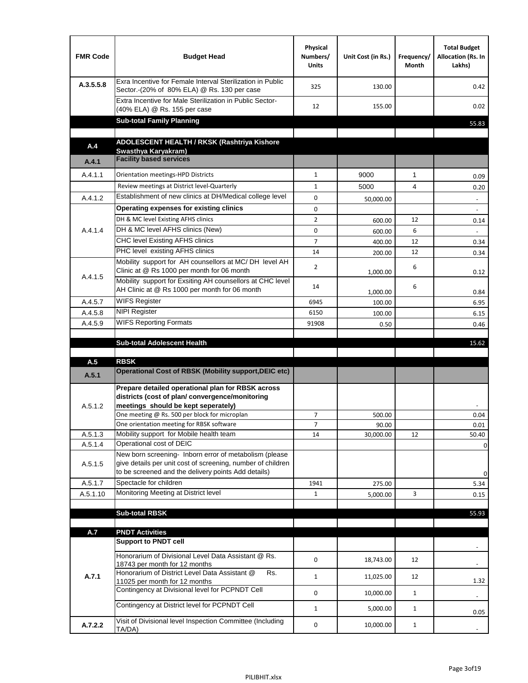| <b>Budget Head</b>                                                                                                                                                           | Physical<br>Numbers/<br><b>Units</b>                                                                                                                                                                                                                                                                                                                                                                                                                                                                                                                                                                                                                               | Unit Cost (in Rs.)                                            | Frequency/<br>Month                            | <b>Total Budget</b><br>Allocation (Rs. In<br>Lakhs) |
|------------------------------------------------------------------------------------------------------------------------------------------------------------------------------|--------------------------------------------------------------------------------------------------------------------------------------------------------------------------------------------------------------------------------------------------------------------------------------------------------------------------------------------------------------------------------------------------------------------------------------------------------------------------------------------------------------------------------------------------------------------------------------------------------------------------------------------------------------------|---------------------------------------------------------------|------------------------------------------------|-----------------------------------------------------|
| Exra Incentive for Female Interval Sterilization in Public<br>Sector.-(20% of 80% ELA) @ Rs. 130 per case                                                                    | 325                                                                                                                                                                                                                                                                                                                                                                                                                                                                                                                                                                                                                                                                | 130.00                                                        |                                                | 0.42                                                |
| (40% ELA) @ Rs. 155 per case                                                                                                                                                 | 12                                                                                                                                                                                                                                                                                                                                                                                                                                                                                                                                                                                                                                                                 | 155.00                                                        |                                                | 0.02                                                |
|                                                                                                                                                                              |                                                                                                                                                                                                                                                                                                                                                                                                                                                                                                                                                                                                                                                                    |                                                               |                                                | 55.83                                               |
|                                                                                                                                                                              |                                                                                                                                                                                                                                                                                                                                                                                                                                                                                                                                                                                                                                                                    |                                                               |                                                |                                                     |
| Swasthya Karyakram)                                                                                                                                                          |                                                                                                                                                                                                                                                                                                                                                                                                                                                                                                                                                                                                                                                                    |                                                               |                                                |                                                     |
|                                                                                                                                                                              |                                                                                                                                                                                                                                                                                                                                                                                                                                                                                                                                                                                                                                                                    |                                                               |                                                |                                                     |
| Orientation meetings-HPD Districts                                                                                                                                           | $\mathbf{1}$                                                                                                                                                                                                                                                                                                                                                                                                                                                                                                                                                                                                                                                       | 9000                                                          | $\mathbf{1}$                                   | 0.09                                                |
|                                                                                                                                                                              | $\mathbf{1}$                                                                                                                                                                                                                                                                                                                                                                                                                                                                                                                                                                                                                                                       | 5000                                                          | 4                                              | 0.20                                                |
|                                                                                                                                                                              |                                                                                                                                                                                                                                                                                                                                                                                                                                                                                                                                                                                                                                                                    | 50,000.00                                                     |                                                | $\overline{\phantom{a}}$                            |
|                                                                                                                                                                              |                                                                                                                                                                                                                                                                                                                                                                                                                                                                                                                                                                                                                                                                    |                                                               |                                                |                                                     |
|                                                                                                                                                                              |                                                                                                                                                                                                                                                                                                                                                                                                                                                                                                                                                                                                                                                                    | 600.00                                                        |                                                | 0.14                                                |
|                                                                                                                                                                              |                                                                                                                                                                                                                                                                                                                                                                                                                                                                                                                                                                                                                                                                    | 600.00                                                        |                                                |                                                     |
|                                                                                                                                                                              |                                                                                                                                                                                                                                                                                                                                                                                                                                                                                                                                                                                                                                                                    | 400.00                                                        |                                                | 0.34                                                |
|                                                                                                                                                                              |                                                                                                                                                                                                                                                                                                                                                                                                                                                                                                                                                                                                                                                                    |                                                               |                                                | 0.34                                                |
| Clinic at @ Rs 1000 per month for 06 month                                                                                                                                   | $\overline{2}$                                                                                                                                                                                                                                                                                                                                                                                                                                                                                                                                                                                                                                                     | 1,000.00                                                      | 6                                              | 0.12                                                |
|                                                                                                                                                                              | 14                                                                                                                                                                                                                                                                                                                                                                                                                                                                                                                                                                                                                                                                 |                                                               | 6                                              | 0.84                                                |
| <b>WIFS Register</b>                                                                                                                                                         |                                                                                                                                                                                                                                                                                                                                                                                                                                                                                                                                                                                                                                                                    |                                                               |                                                | 6.95                                                |
| <b>NIPI Register</b>                                                                                                                                                         | 6150                                                                                                                                                                                                                                                                                                                                                                                                                                                                                                                                                                                                                                                               |                                                               |                                                | 6.15                                                |
| <b>WIFS Reporting Formats</b>                                                                                                                                                | 91908                                                                                                                                                                                                                                                                                                                                                                                                                                                                                                                                                                                                                                                              |                                                               |                                                | 0.46                                                |
|                                                                                                                                                                              |                                                                                                                                                                                                                                                                                                                                                                                                                                                                                                                                                                                                                                                                    |                                                               |                                                |                                                     |
|                                                                                                                                                                              |                                                                                                                                                                                                                                                                                                                                                                                                                                                                                                                                                                                                                                                                    |                                                               |                                                |                                                     |
| <b>Sub-total Adolescent Health</b>                                                                                                                                           |                                                                                                                                                                                                                                                                                                                                                                                                                                                                                                                                                                                                                                                                    |                                                               |                                                | 15.62                                               |
| <b>RBSK</b>                                                                                                                                                                  |                                                                                                                                                                                                                                                                                                                                                                                                                                                                                                                                                                                                                                                                    |                                                               |                                                |                                                     |
| Operational Cost of RBSK (Mobility support, DEIC etc)                                                                                                                        |                                                                                                                                                                                                                                                                                                                                                                                                                                                                                                                                                                                                                                                                    |                                                               |                                                |                                                     |
| Prepare detailed operational plan for RBSK across<br>districts (cost of plan/convergence/monitoring<br>meetings should be kept seperately)                                   |                                                                                                                                                                                                                                                                                                                                                                                                                                                                                                                                                                                                                                                                    |                                                               |                                                |                                                     |
| One meeting @ Rs. 500 per block for microplan                                                                                                                                | $\overline{7}$                                                                                                                                                                                                                                                                                                                                                                                                                                                                                                                                                                                                                                                     | 500.00                                                        |                                                | 0.04                                                |
| One orientation meeting for RBSK software                                                                                                                                    | 7                                                                                                                                                                                                                                                                                                                                                                                                                                                                                                                                                                                                                                                                  | 90.00                                                         |                                                | 0.01                                                |
| Mobility support for Mobile health team<br>Operational cost of DEIC                                                                                                          | 14                                                                                                                                                                                                                                                                                                                                                                                                                                                                                                                                                                                                                                                                 | 30,000.00                                                     | 12                                             | 50.40                                               |
| New born screening- Inborn error of metabolism (please<br>give details per unit cost of screening, number of children<br>to be screened and the delivery points Add details) |                                                                                                                                                                                                                                                                                                                                                                                                                                                                                                                                                                                                                                                                    |                                                               |                                                | 0<br>0                                              |
| Spectacle for children                                                                                                                                                       | 1941                                                                                                                                                                                                                                                                                                                                                                                                                                                                                                                                                                                                                                                               | 275.00                                                        |                                                | 5.34                                                |
| Monitoring Meeting at District level                                                                                                                                         | $\mathbf{1}$                                                                                                                                                                                                                                                                                                                                                                                                                                                                                                                                                                                                                                                       | 5,000.00                                                      | 3                                              | 0.15                                                |
|                                                                                                                                                                              |                                                                                                                                                                                                                                                                                                                                                                                                                                                                                                                                                                                                                                                                    |                                                               |                                                |                                                     |
| <b>Sub-total RBSK</b>                                                                                                                                                        |                                                                                                                                                                                                                                                                                                                                                                                                                                                                                                                                                                                                                                                                    |                                                               |                                                | 55.93                                               |
|                                                                                                                                                                              |                                                                                                                                                                                                                                                                                                                                                                                                                                                                                                                                                                                                                                                                    |                                                               |                                                |                                                     |
| <b>PNDT Activities</b><br><b>Support to PNDT cell</b>                                                                                                                        |                                                                                                                                                                                                                                                                                                                                                                                                                                                                                                                                                                                                                                                                    |                                                               |                                                |                                                     |
| Honorarium of Divisional Level Data Assistant @ Rs.<br>18743 per month for 12 months                                                                                         | 0                                                                                                                                                                                                                                                                                                                                                                                                                                                                                                                                                                                                                                                                  | 18,743.00                                                     | 12                                             |                                                     |
| Honorarium of District Level Data Assistant @<br>Rs.                                                                                                                         | $\mathbf{1}$                                                                                                                                                                                                                                                                                                                                                                                                                                                                                                                                                                                                                                                       | 11,025.00                                                     | 12                                             |                                                     |
| 11025 per month for 12 months<br>Contingency at Divisional level for PCPNDT Cell                                                                                             | 0                                                                                                                                                                                                                                                                                                                                                                                                                                                                                                                                                                                                                                                                  | 10,000.00                                                     | $\mathbf{1}$                                   | 1.32<br>$\overline{\phantom{a}}$                    |
| Contingency at District level for PCPNDT Cell                                                                                                                                | $\mathbf{1}$                                                                                                                                                                                                                                                                                                                                                                                                                                                                                                                                                                                                                                                       | 5,000.00                                                      | $\mathbf{1}$                                   | 0.05                                                |
|                                                                                                                                                                              | Extra Incentive for Male Sterilization in Public Sector-<br><b>Sub-total Family Planning</b><br>ADOLESCENT HEALTH / RKSK (Rashtriya Kishore<br><b>Facility based services</b><br>Review meetings at District level-Quarterly<br>Establishment of new clinics at DH/Medical college level<br>Operating expenses for existing clinics<br>DH & MC level Existing AFHS clinics<br>DH & MC level AFHS clinics (New)<br><b>CHC level Existing AFHS clinics</b><br>PHC level existing AFHS clinics<br>Mobility support for AH counsellors at MC/DH level AH<br>Mobility support for Exsiting AH counsellors at CHC level<br>AH Clinic at @ Rs 1000 per month for 06 month | 0<br>0<br>$\overline{2}$<br>0<br>$\overline{7}$<br>14<br>6945 | 200.00<br>1,000.00<br>100.00<br>100.00<br>0.50 | 12<br>6<br>12<br>12                                 |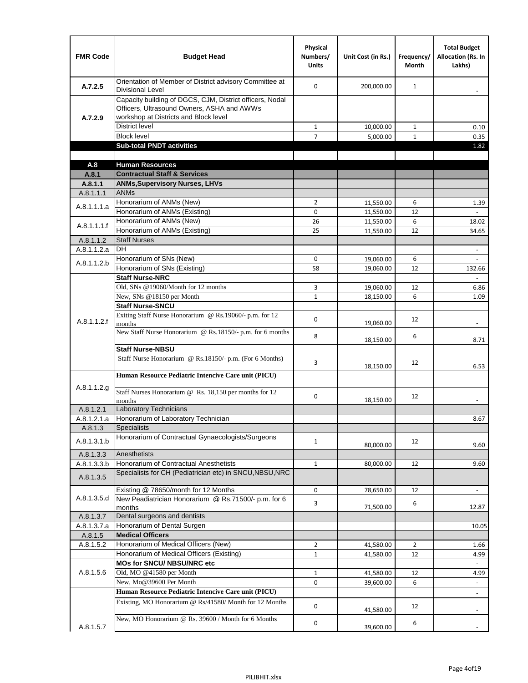| <b>FMR Code</b>      | <b>Budget Head</b>                                                                                                                              | Physical<br>Numbers/<br><b>Units</b> | Unit Cost (in Rs.)     | Frequency/<br><b>Month</b> | <b>Total Budget</b><br><b>Allocation (Rs. In</b><br>Lakhs) |
|----------------------|-------------------------------------------------------------------------------------------------------------------------------------------------|--------------------------------------|------------------------|----------------------------|------------------------------------------------------------|
| A.7.2.5              | Orientation of Member of District advisory Committee at<br><b>Divisional Level</b>                                                              | $\Omega$                             | 200,000.00             | $\mathbf{1}$               | $\overline{\phantom{m}}$                                   |
| A.7.2.9              | Capacity building of DGCS, CJM, District officers, Nodal<br>Officers, Ultrasound Owners, ASHA and AWWs<br>workshop at Districts and Block level |                                      |                        |                            |                                                            |
|                      | <b>District level</b>                                                                                                                           | $\mathbf{1}$                         | 10,000.00              | 1                          | 0.10                                                       |
|                      | <b>Block level</b>                                                                                                                              | 7                                    | 5,000.00               | $\mathbf{1}$               | 0.35                                                       |
|                      | <b>Sub-total PNDT activities</b>                                                                                                                |                                      |                        |                            | 1.82                                                       |
|                      |                                                                                                                                                 |                                      |                        |                            |                                                            |
| A.8                  | <b>Human Resources</b>                                                                                                                          |                                      |                        |                            |                                                            |
| A.8.1                | <b>Contractual Staff &amp; Services</b>                                                                                                         |                                      |                        |                            |                                                            |
| A.8.1.1<br>A.8.1.1.1 | <b>ANMs, Supervisory Nurses, LHVs</b><br><b>ANMs</b>                                                                                            |                                      |                        |                            |                                                            |
|                      | Honorarium of ANMs (New)                                                                                                                        | $\overline{2}$                       |                        | 6                          |                                                            |
| A.8.1.1.1.a          | Honorarium of ANMs (Existing)                                                                                                                   | 0                                    | 11,550.00<br>11,550.00 | 12                         | 1.39                                                       |
|                      | Honorarium of ANMs (New)                                                                                                                        | 26                                   | 11,550.00              | 6                          | 18.02                                                      |
| A.8.1.1.1.f          | Honorarium of ANMs (Existing)                                                                                                                   | 25                                   | 11,550.00              | 12                         | 34.65                                                      |
| A.8.1.1.2            | <b>Staff Nurses</b>                                                                                                                             |                                      |                        |                            |                                                            |
| A.8.1.1.2.a          | <b>DH</b>                                                                                                                                       |                                      |                        |                            | $\blacksquare$                                             |
|                      | Honorarium of SNs (New)                                                                                                                         | 0                                    | 19,060.00              | 6                          |                                                            |
| A.8.1.1.2.b          | Honorarium of SNs (Existing)                                                                                                                    | 58                                   | 19.060.00              | 12                         | 132.66                                                     |
|                      | <b>Staff Nurse-NRC</b>                                                                                                                          |                                      |                        |                            | $\overline{\phantom{a}}$                                   |
|                      | Old, SNs @19060/Month for 12 months                                                                                                             | 3                                    | 19,060.00              | 12                         | 6.86                                                       |
|                      | New, SNs @18150 per Month                                                                                                                       | $\mathbf{1}$                         | 18,150.00              | 6                          | 1.09                                                       |
|                      | <b>Staff Nurse-SNCU</b>                                                                                                                         |                                      |                        |                            |                                                            |
| A.8.1.1.2.f          | Exiting Staff Nurse Honorarium @ Rs.19060/- p.m. for 12<br>months                                                                               | $\Omega$                             | 19,060.00              | 12                         | -                                                          |
|                      | New Staff Nurse Honorarium @ Rs.18150/- p.m. for 6 months                                                                                       | 8                                    | 18,150.00              | 6                          | 8.71                                                       |
|                      | <b>Staff Nurse-NBSU</b>                                                                                                                         |                                      |                        |                            |                                                            |
|                      | Staff Nurse Honorarium @ Rs.18150/- p.m. (For 6 Months)                                                                                         | 3                                    | 18,150.00              | 12                         | 6.53                                                       |
|                      | Human Resource Pediatric Intencive Care unit (PICU)                                                                                             |                                      |                        |                            |                                                            |
| A.8.1.1.2.g          | Staff Nurses Honorarium @ Rs. 18,150 per months for 12<br>months                                                                                | 0                                    | 18,150.00              | 12                         |                                                            |
| A.8.1.2.1            | Laboratory Technicians                                                                                                                          |                                      |                        |                            |                                                            |
| A.8.1.2.1.a          | Honorarium of Laboratory Technician                                                                                                             |                                      |                        |                            | 8.67                                                       |
| A.8.1.3              | <b>Specialists</b>                                                                                                                              |                                      |                        |                            |                                                            |
| A.8.1.3.1.b          | Honorarium of Contractual Gynaecologists/Surgeons                                                                                               | $\mathbf{1}$                         | 80,000.00              | 12                         | 9.60                                                       |
| A.8.1.3.3            | Anesthetists                                                                                                                                    |                                      |                        |                            |                                                            |
| A.8.1.3.3.b          | Honorarium of Contractual Anesthetists                                                                                                          | $\mathbf{1}$                         | 80,000.00              | 12                         | 9.60                                                       |
| A.8.1.3.5            | Specialists for CH (Pediatrician etc) in SNCU, NBSU, NRC                                                                                        |                                      |                        |                            |                                                            |
|                      | Existing @ 78650/month for 12 Months                                                                                                            | 0                                    | 78,650.00              | 12                         | $\blacksquare$                                             |
| A.8.1.3.5.d          | New Peadiatrician Honorarium @ Rs.71500/- p.m. for 6<br>months                                                                                  | 3                                    | 71,500.00              | 6                          | 12.87                                                      |
| A.8.1.3.7            | Dental surgeons and dentists                                                                                                                    |                                      |                        |                            |                                                            |
| A.8.1.3.7.a          | Honorarium of Dental Surgen                                                                                                                     |                                      |                        |                            | 10.05                                                      |
| A.8.1.5              | <b>Medical Officers</b>                                                                                                                         |                                      |                        |                            |                                                            |
| A.8.1.5.2            | Honorarium of Medical Officers (New)                                                                                                            | $\overline{2}$                       | 41,580.00              | $\overline{2}$             | 1.66                                                       |
|                      | Honorarium of Medical Officers (Existing)                                                                                                       | $\mathbf{1}$                         | 41,580.00              | 12                         | 4.99                                                       |
|                      | MOs for SNCU/ NBSU/NRC etc                                                                                                                      |                                      |                        |                            |                                                            |
| A.8.1.5.6            | Old, MO @41580 per Month                                                                                                                        | $\mathbf{1}$                         | 41,580.00              | 12                         | 4.99                                                       |
|                      | New, Mo@39600 Per Month                                                                                                                         | 0                                    | 39,600.00              | 6                          | $\blacksquare$                                             |
|                      | Human Resource Pediatric Intencive Care unit (PICU)                                                                                             |                                      |                        |                            | $\frac{1}{2}$                                              |
|                      | Existing, MO Honorarium @ Rs/41580/ Month for 12 Months                                                                                         | $\mathbf 0$                          | 41,580.00              | 12                         |                                                            |
| A.8.1.5.7            | New, MO Honorarium @ Rs. 39600 / Month for 6 Months                                                                                             | 0                                    | 39,600.00              | 6                          |                                                            |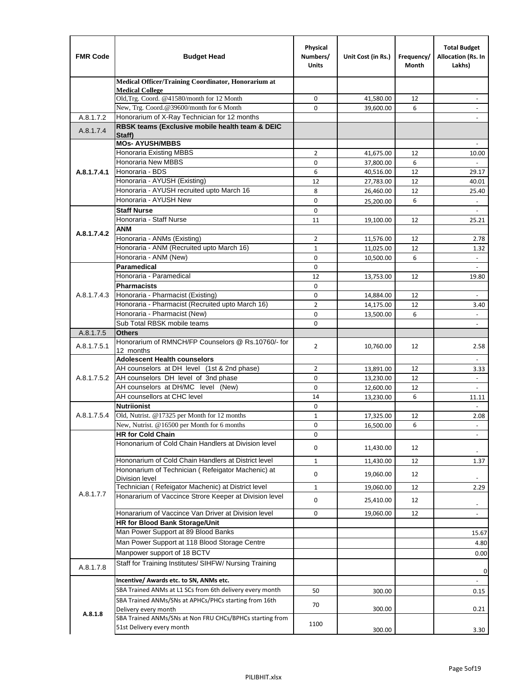| <b>FMR Code</b> | <b>Budget Head</b>                                                                                       | Physical<br>Numbers/<br><b>Units</b> | Unit Cost (in Rs.)     | Frequency/<br>Month | <b>Total Budget</b><br>Allocation (Rs. In<br>Lakhs) |
|-----------------|----------------------------------------------------------------------------------------------------------|--------------------------------------|------------------------|---------------------|-----------------------------------------------------|
|                 | Medical Officer/Training Coordinator, Honorarium at                                                      |                                      |                        |                     |                                                     |
|                 | <b>Medical College</b><br>Old, Trg. Coord. @41580/month for 12 Month                                     | 0                                    | 41,580.00              | 12                  |                                                     |
|                 | New, Trg. Coord.@39600/month for 6 Month                                                                 | $\Omega$                             | 39,600.00              | 6                   |                                                     |
| A.8.1.7.2       | Honorarium of X-Ray Technician for 12 months                                                             |                                      |                        |                     |                                                     |
| A.8.1.7.4       | RBSK teams (Exclusive mobile health team & DEIC                                                          |                                      |                        |                     |                                                     |
|                 | Staff)<br><b>MOs- AYUSH/MBBS</b>                                                                         |                                      |                        |                     |                                                     |
|                 | Honoraria Existing MBBS                                                                                  | $\overline{2}$                       | 41,675.00              | 12                  | 10.00                                               |
|                 | Honoraria New MBBS                                                                                       | 0                                    | 37,800.00              | 6                   |                                                     |
| A.8.1.7.4.1     | Honoraria - BDS                                                                                          | 6                                    | 40,516.00              | 12                  | 29.17                                               |
|                 | Honoraria - AYUSH (Existing)                                                                             | 12                                   | 27,783.00              | 12                  | 40.01                                               |
|                 | Honoraria - AYUSH recruited upto March 16                                                                | 8                                    | 26,460.00              | 12                  | 25.40                                               |
|                 | Honoraria - AYUSH New                                                                                    | $\mathbf 0$                          | 25,200.00              | 6                   |                                                     |
|                 | <b>Staff Nurse</b>                                                                                       | $\mathbf 0$                          |                        |                     | $\omega$                                            |
|                 | Honoraria - Staff Nurse                                                                                  | 11                                   | 19,100.00              | 12                  | 25.21                                               |
| A.8.1.7.4.2     | ANM                                                                                                      |                                      |                        |                     |                                                     |
|                 | Honoraria - ANMs (Existing)                                                                              | $\overline{2}$                       | 11,576.00              | 12                  | 2.78                                                |
|                 | Honoraria - ANM (Recruited upto March 16)                                                                | $\mathbf{1}$                         | 11,025.00              | 12                  | 1.32                                                |
|                 | Honoraria - ANM (New)<br><b>Paramedical</b>                                                              | $\mathbf 0$                          | 10,500.00              | 6                   |                                                     |
|                 | Honoraria - Paramedical                                                                                  | $\mathbf 0$<br>12                    |                        | 12                  | $\overline{\phantom{a}}$                            |
|                 | <b>Pharmacists</b>                                                                                       | $\mathbf 0$                          | 13,753.00              |                     | 19.80                                               |
| A.8.1.7.4.3     | Honoraria - Pharmacist (Existing)                                                                        | 0                                    | 14,884.00              | 12                  | $\overline{\phantom{a}}$                            |
|                 | Honoraria - Pharmacist (Recruited upto March 16)                                                         | $\overline{2}$                       | 14,175.00              | 12                  | 3.40                                                |
|                 | Honoraria - Pharmacist (New)                                                                             | $\mathbf 0$                          | 13,500.00              | 6                   | $\overline{\phantom{a}}$                            |
|                 | Sub Total RBSK mobile teams                                                                              | $\Omega$                             |                        |                     | $\overline{\phantom{a}}$                            |
| A.8.1.7.5       | <b>Others</b>                                                                                            |                                      |                        |                     |                                                     |
| A.8.1.7.5.1     | Honorarium of RMNCH/FP Counselors @ Rs.10760/- for                                                       | $\overline{2}$                       | 10,760.00              | 12                  | 2.58                                                |
|                 | 12 months                                                                                                |                                      |                        |                     |                                                     |
|                 | <b>Adolescent Health counselors</b>                                                                      |                                      |                        |                     | $\blacksquare$                                      |
|                 | AH counselors at DH level (1st & 2nd phase)                                                              | 2                                    | 13,891.00              | 12                  | 3.33                                                |
| A.8.1.7.5.2     | AH counselors DH level of 3nd phase                                                                      | $\mathbf 0$                          | 13,230.00              | 12                  | $\overline{\phantom{a}}$                            |
|                 | AH counselors at DH/MC level (New)                                                                       | $\mathbf 0$                          | 12,600.00              | 12                  |                                                     |
|                 | AH counsellors at CHC level                                                                              | 14<br>0                              | 13,230.00              | 6                   | 11.11                                               |
| A.8.1.7.5.4     | <b>Nutriionist</b><br>Old, Nutrist. @17325 per Month for 12 months                                       | 1                                    |                        | 12                  | $\omega$<br>2.08                                    |
|                 | New, Nutrist. @16500 per Month for 6 months                                                              | 0                                    | 17,325.00<br>16,500.00 | 6                   |                                                     |
|                 | <b>HR for Cold Chain</b>                                                                                 | 0                                    |                        |                     |                                                     |
|                 | Hononarium of Cold Chain Handlers at Division level                                                      | 0                                    | 11,430.00              | 12                  |                                                     |
|                 |                                                                                                          |                                      |                        |                     |                                                     |
|                 | Hononarium of Cold Chain Handlers at District level<br>Hononarium of Technician (Refeigator Machenic) at | 1                                    | 11,430.00              | 12                  | 1.37                                                |
|                 | <b>Division level</b>                                                                                    | 0                                    | 19,060.00              | 12                  |                                                     |
|                 | Technician (Refeigator Machenic) at District level                                                       | $\mathbf{1}$                         | 19,060.00              | 12                  | 2.29                                                |
| A.8.1.7.7       | Honararium of Vaccince Strore Keeper at Division level                                                   | 0                                    | 25,410.00              | 12                  |                                                     |
|                 | Honararium of Vaccince Van Driver at Division level                                                      | 0                                    | 19,060.00              | 12                  | $\overline{\phantom{a}}$<br>$\blacksquare$          |
|                 | <b>HR for Blood Bank Storage/Unit</b>                                                                    |                                      |                        |                     |                                                     |
|                 | Man Power Support at 89 Blood Banks                                                                      |                                      |                        |                     | 15.67                                               |
|                 | Man Power Support at 118 Blood Storage Centre                                                            |                                      |                        |                     | 4.80                                                |
|                 | Manpower support of 18 BCTV                                                                              |                                      |                        |                     | 0.00                                                |
| A.8.1.7.8       | Staff for Training Institutes/ SIHFW/ Nursing Training                                                   |                                      |                        |                     |                                                     |
|                 | Incentive/ Awards etc. to SN, ANMs etc.                                                                  |                                      |                        |                     | 0                                                   |
|                 | SBA Trained ANMs at L1 SCs from 6th delivery every month                                                 | 50                                   |                        |                     |                                                     |
|                 | SBA Trained ANMs/SNs at APHCs/PHCs starting from 16th                                                    |                                      | 300.00                 |                     | 0.15                                                |
| A.8.1.8         | Delivery every month                                                                                     | 70                                   | 300.00                 |                     | 0.21                                                |
|                 | SBA Trained ANMs/SNs at Non FRU CHCs/BPHCs starting from<br>51st Delivery every month                    | 1100                                 |                        |                     |                                                     |
|                 |                                                                                                          |                                      | 300.00                 |                     | 3.30                                                |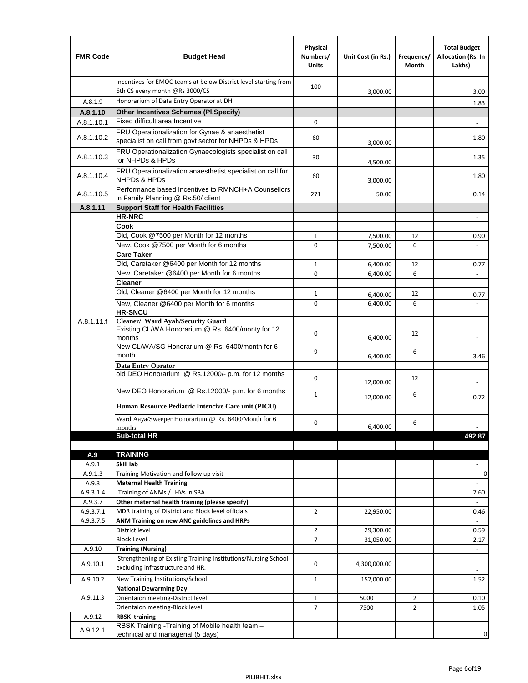| <b>FMR Code</b>  | <b>Budget Head</b>                                                                                      | Physical<br>Numbers/<br><b>Units</b> | Unit Cost (in Rs.) | Frequency/<br>Month | <b>Total Budget</b><br>Allocation (Rs. In<br>Lakhs) |
|------------------|---------------------------------------------------------------------------------------------------------|--------------------------------------|--------------------|---------------------|-----------------------------------------------------|
|                  | Incentives for EMOC teams at below District level starting from<br>6th CS every month @Rs 3000/CS       | 100                                  | 3,000.00           |                     | 3.00                                                |
| A.8.1.9          | Honorarium of Data Entry Operator at DH                                                                 |                                      |                    |                     | 1.83                                                |
| A.8.1.10         | <b>Other Incentives Schemes (PI.Specify)</b>                                                            |                                      |                    |                     |                                                     |
| A.8.1.10.1       | Fixed difficult area Incentive                                                                          | $\mathbf 0$                          |                    |                     |                                                     |
| A.8.1.10.2       | FRU Operationalization for Gynae & anaesthetist<br>specialist on call from govt sector for NHPDs & HPDs | 60                                   | 3,000.00           |                     | 1.80                                                |
| A.8.1.10.3       | FRU Operationalization Gynaecologists specialist on call<br>for NHPDs & HPDs                            | 30                                   | 4,500.00           |                     | 1.35                                                |
| A.8.1.10.4       | FRU Operationalization anaesthetist specialist on call for<br><b>NHPDs &amp; HPDs</b>                   | 60                                   | 3,000.00           |                     | 1.80                                                |
| A.8.1.10.5       | Performance based Incentives to RMNCH+A Counsellors<br>in Family Planning @ Rs.50/ client               | 271                                  | 50.00              |                     | 0.14                                                |
| A.8.1.11         | <b>Support Staff for Health Facilities</b>                                                              |                                      |                    |                     |                                                     |
|                  | <b>HR-NRC</b>                                                                                           |                                      |                    |                     | $\qquad \qquad \blacksquare$                        |
|                  | Cook                                                                                                    |                                      |                    |                     |                                                     |
|                  | Old, Cook @7500 per Month for 12 months                                                                 | $\mathbf{1}$                         | 7,500.00           | 12                  | 0.90                                                |
|                  | New, Cook @7500 per Month for 6 months                                                                  | 0                                    | 7,500.00           | 6                   | $\Box$                                              |
|                  | <b>Care Taker</b><br>Old, Caretaker @6400 per Month for 12 months                                       | $\mathbf{1}$                         | 6,400.00           | 12                  | 0.77                                                |
|                  | New, Caretaker @6400 per Month for 6 months                                                             | 0                                    | 6,400.00           | 6                   | ÷,                                                  |
|                  | <b>Cleaner</b>                                                                                          |                                      |                    |                     |                                                     |
|                  | Old, Cleaner @6400 per Month for 12 months                                                              | $\mathbf{1}$                         | 6,400.00           | 12                  | 0.77                                                |
|                  | New, Cleaner @6400 per Month for 6 months                                                               | $\mathbf 0$                          | 6,400.00           | 6                   |                                                     |
|                  | <b>HR-SNCU</b>                                                                                          |                                      |                    |                     |                                                     |
| A.8.1.11.f       | Cleaner/ Ward Ayah/Security Guard                                                                       |                                      |                    |                     |                                                     |
|                  | Existing CL/WA Honorarium @ Rs. 6400/monty for 12<br>months                                             | $\mathbf 0$                          | 6,400.00           | 12                  |                                                     |
|                  | New CL/WA/SG Honorarium @ Rs. 6400/month for 6<br>month                                                 | 9                                    | 6,400.00           | 6                   | 3.46                                                |
|                  | <b>Data Entry Oprator</b>                                                                               |                                      |                    |                     |                                                     |
|                  | old DEO Honorarium @ Rs.12000/- p.m. for 12 months<br>New DEO Honorarium @ Rs.12000/- p.m. for 6 months | $\mathbf 0$                          | 12,000.00          | 12                  |                                                     |
|                  |                                                                                                         | $\mathbf{1}$                         | 12,000.00          | 6                   | 0.72                                                |
|                  | Human Resource Pediatric Intencive Care unit (PICU)                                                     |                                      |                    |                     |                                                     |
|                  | Ward Aaya/Sweeper Honorarium @ Rs. 6400/Month for 6                                                     |                                      |                    |                     |                                                     |
|                  | months                                                                                                  | $\mathbf 0$                          | 6,400.00           | 6                   |                                                     |
|                  | Sub-total HR                                                                                            |                                      |                    |                     | 492.87                                              |
|                  |                                                                                                         |                                      |                    |                     |                                                     |
| A.9              | <b>TRAINING</b><br>Skill lab                                                                            |                                      |                    |                     |                                                     |
| A.9.1<br>A.9.1.3 | Training Motivation and follow up visit                                                                 |                                      |                    |                     | 0                                                   |
| A.9.3            | <b>Maternal Health Training</b>                                                                         |                                      |                    |                     |                                                     |
| A.9.3.1.4        | Training of ANMs / LHVs in SBA                                                                          |                                      |                    |                     | 7.60                                                |
| A.9.3.7          | Other maternal health training (please specify)                                                         |                                      |                    |                     |                                                     |
| A.9.3.7.1        | MDR training of District and Block level officials                                                      | $\overline{2}$                       | 22,950.00          |                     | 0.46                                                |
| A.9.3.7.5        | ANM Training on new ANC guidelines and HRPs                                                             |                                      |                    |                     |                                                     |
|                  | District level                                                                                          | $\overline{2}$                       | 29,300.00          |                     | 0.59                                                |
|                  | <b>Block Level</b>                                                                                      | 7                                    | 31,050.00          |                     | 2.17                                                |
| A.9.10           | <b>Training (Nursing)</b>                                                                               |                                      |                    |                     | $\overline{\phantom{a}}$                            |
| A.9.10.1         | Strengthening of Existing Training Institutions/Nursing School<br>excluding infrastructure and HR.      | 0                                    | 4,300,000.00       |                     |                                                     |
| A.9.10.2         | New Training Institutions/School                                                                        | $\mathbf{1}$                         | 152,000.00         |                     | 1.52                                                |
|                  | <b>National Dewarming Day</b>                                                                           |                                      |                    |                     |                                                     |
| A.9.11.3         | Orientaion meeting-District level                                                                       | $\mathbf 1$                          | 5000               | $\overline{2}$      | 0.10                                                |
|                  | Orientaion meeting-Block level                                                                          | $\overline{7}$                       | 7500               | $\overline{2}$      | 1.05                                                |
| A.9.12           | <b>RBSK training</b>                                                                                    |                                      |                    |                     |                                                     |
| A.9.12.1         | RBSK Training -Training of Mobile health team -<br>technical and managerial (5 days)                    |                                      |                    |                     | 0                                                   |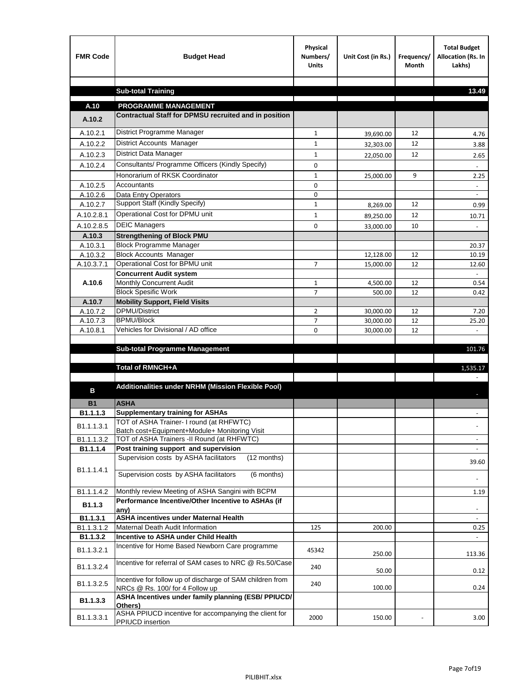| <b>FMR Code</b>       | <b>Budget Head</b>                                                                           | Physical<br>Numbers/<br><b>Units</b> | Unit Cost (in Rs.) | Frequency/<br><b>Month</b> | <b>Total Budget</b><br>Allocation (Rs. In<br>Lakhs) |
|-----------------------|----------------------------------------------------------------------------------------------|--------------------------------------|--------------------|----------------------------|-----------------------------------------------------|
|                       |                                                                                              |                                      |                    |                            |                                                     |
|                       | <b>Sub-total Training</b>                                                                    |                                      |                    |                            | 13.49                                               |
| A.10                  | <b>PROGRAMME MANAGEMENT</b>                                                                  |                                      |                    |                            |                                                     |
| A.10.2                | Contractual Staff for DPMSU recruited and in position                                        |                                      |                    |                            |                                                     |
| A.10.2.1              | District Programme Manager                                                                   | $\mathbf{1}$                         | 39,690.00          | 12                         | 4.76                                                |
| A.10.2.2              | District Accounts Manager                                                                    | 1                                    | 32,303.00          | 12                         | 3.88                                                |
| A.10.2.3              | District Data Manager                                                                        | $\mathbf{1}$                         | 22,050.00          | 12                         | 2.65                                                |
| A.10.2.4              | Consultants/ Programme Officers (Kindly Specify)                                             | $\mathbf 0$                          |                    |                            |                                                     |
|                       | Honorarium of RKSK Coordinator                                                               | $\mathbf{1}$                         | 25,000.00          | 9                          | 2.25                                                |
| A.10.2.5              | Accountants                                                                                  | 0                                    |                    |                            |                                                     |
| A.10.2.6              | Data Entry Operators                                                                         | 0                                    |                    |                            | $\overline{\phantom{a}}$                            |
| A.10.2.7              | Support Staff (Kindly Specify)                                                               | $\mathbf{1}$                         | 8,269.00           | 12                         | 0.99                                                |
| A.10.2.8.1            | Operational Cost for DPMU unit                                                               | $\mathbf{1}$                         | 89,250.00          | 12                         | 10.71                                               |
| A.10.2.8.5            | <b>DEIC Managers</b>                                                                         | $\mathbf 0$                          | 33,000.00          | 10                         |                                                     |
| A.10.3                | <b>Strengthening of Block PMU</b>                                                            |                                      |                    |                            |                                                     |
| A.10.3.1              | <b>Block Programme Manager</b>                                                               |                                      |                    |                            | 20.37                                               |
| A.10.3.2              | <b>Block Accounts Manager</b>                                                                |                                      | 12,128.00          | 12                         | 10.19                                               |
| A.10.3.7.1            | Operational Cost for BPMU unit                                                               | 7                                    | 15,000.00          | 12                         | 12.60                                               |
| A.10.6                | <b>Concurrent Audit system</b><br>Monthly Concurrent Audit                                   | $\mathbf{1}$                         | 4,500.00           | 12                         | 0.54                                                |
|                       | <b>Block Spesific Work</b>                                                                   | 7                                    | 500.00             | 12                         | 0.42                                                |
| A.10.7                | <b>Mobility Support, Field Visits</b>                                                        |                                      |                    |                            |                                                     |
| A.10.7.2              | <b>DPMU/District</b>                                                                         | $\overline{2}$                       | 30,000.00          | 12                         | 7.20                                                |
| A.10.7.3              | <b>BPMU/Block</b>                                                                            | 7                                    | 30,000.00          | 12                         | 25.20                                               |
| A.10.8.1              | Vehicles for Divisional / AD office                                                          | 0                                    | 30,000.00          | 12                         | $\mathbf{r}$                                        |
|                       |                                                                                              |                                      |                    |                            |                                                     |
|                       | <b>Sub-total Programme Management</b>                                                        |                                      |                    |                            | 101.76                                              |
|                       | Total of RMNCH+A                                                                             |                                      |                    |                            | 1,535.17                                            |
|                       |                                                                                              |                                      |                    |                            |                                                     |
| в                     | Additionalities under NRHM (Mission Flexible Pool)                                           |                                      |                    |                            |                                                     |
|                       | <b>ASHA</b>                                                                                  |                                      |                    |                            |                                                     |
| <b>B1</b><br>B1.1.1.3 | <b>Supplementary training for ASHAs</b>                                                      |                                      |                    |                            |                                                     |
|                       | TOT of ASHA Trainer- I round (at RHFWTC)                                                     |                                      |                    |                            |                                                     |
| B1.1.1.3.1            | Batch cost+Equipment+Module+ Monitoring Visit                                                |                                      |                    |                            |                                                     |
| B1.1.1.3.2            | TOT of ASHA Trainers -II Round (at RHFWTC)                                                   |                                      |                    |                            |                                                     |
| B1.1.1.4              | Post training support and supervision                                                        |                                      |                    |                            | $\sim$                                              |
|                       | Supervision costs by ASHA facilitators<br>(12 months)                                        |                                      |                    |                            | 39.60                                               |
| B1.1.1.4.1            | Supervision costs by ASHA facilitators<br>(6 months)                                         |                                      |                    |                            |                                                     |
|                       |                                                                                              |                                      |                    |                            |                                                     |
| B1.1.1.4.2            | Monthly review Meeting of ASHA Sangini with BCPM                                             |                                      |                    |                            | 1.19                                                |
| B <sub>1.1.3</sub>    | Performance Incentive/Other Incentive to ASHAs (if                                           |                                      |                    |                            |                                                     |
| B1.1.3.1              | any)<br><b>ASHA incentives under Maternal Health</b>                                         |                                      |                    |                            |                                                     |
| B1.1.3.1.2            | Maternal Death Audit Information                                                             | 125                                  | 200.00             |                            | 0.25                                                |
| B1.1.3.2              | Incentive to ASHA under Child Health                                                         |                                      |                    |                            | ÷.                                                  |
| B1.1.3.2.1            | Incentive for Home Based Newborn Care programme                                              | 45342                                | 250.00             |                            | 113.36                                              |
| B1.1.3.2.4            | Incentive for referral of SAM cases to NRC @ Rs.50/Case                                      | 240                                  | 50.00              |                            | 0.12                                                |
| B1.1.3.2.5            | Incentive for follow up of discharge of SAM children from<br>NRCs @ Rs. 100/ for 4 Follow up | 240                                  | 100.00             |                            | 0.24                                                |
| B1.1.3.3              | ASHA Incentives under family planning (ESB/ PPIUCD/<br>Others)                               |                                      |                    |                            |                                                     |
| B1.1.3.3.1            | ASHA PPIUCD incentive for accompanying the client for<br>PPIUCD insertion                    | 2000                                 | 150.00             |                            | 3.00                                                |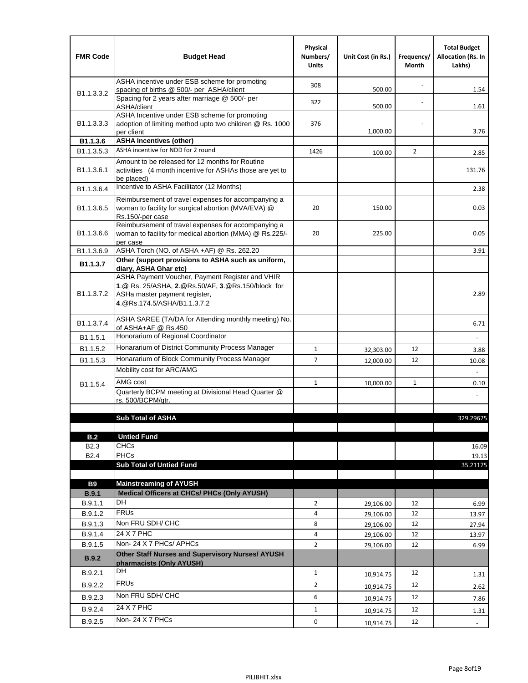| <b>FMR Code</b>            | <b>Budget Head</b>                                                                                                                                                                             | Physical<br>Numbers/<br><b>Units</b> | Unit Cost (in Rs.) | Frequency/<br>Month | <b>Total Budget</b><br><b>Allocation (Rs. In</b><br>Lakhs) |
|----------------------------|------------------------------------------------------------------------------------------------------------------------------------------------------------------------------------------------|--------------------------------------|--------------------|---------------------|------------------------------------------------------------|
|                            | ASHA incentive under ESB scheme for promoting<br>spacing of births @ 500/- per ASHA/client                                                                                                     | 308                                  | 500.00             |                     | 1.54                                                       |
| B <sub>1.1</sub> , 3, 3, 2 | Spacing for 2 years after marriage @ 500/- per<br>ASHA/client                                                                                                                                  | 322                                  | 500.00             |                     | 1.61                                                       |
| B1.1.3.3.3                 | ASHA Incentive under ESB scheme for promoting<br>adoption of limiting method upto two children @ Rs. 1000<br>per client                                                                        | 376                                  | 1,000.00           |                     | 3.76                                                       |
| B1.1.3.6                   | <b>ASHA Incentives (other)</b>                                                                                                                                                                 |                                      |                    |                     |                                                            |
| B <sub>1.1</sub> , 3, 5, 3 | ASHA incentive for NDD for 2 round                                                                                                                                                             | 1426                                 | 100.00             | $\overline{2}$      | 2.85                                                       |
| B <sub>1.1</sub> .3.6.1    | Amount to be released for 12 months for Routine<br>activities (4 month incentive for ASHAs those are yet to<br>be placed)                                                                      |                                      |                    |                     | 131.76                                                     |
| B1.1.3.6.4                 | Incentive to ASHA Facilitator (12 Months)                                                                                                                                                      |                                      |                    |                     | 2.38                                                       |
| B <sub>1.1</sub> .3.6.5    | Reimbursement of travel expenses for accompanying a<br>woman to facility for surgical abortion (MVA/EVA) @<br>Rs.150/-per case                                                                 | 20                                   | 150.00             |                     | 0.03                                                       |
| B <sub>1.1</sub> .3.6.6    | Reimbursement of travel expenses for accompanying a<br>woman to facility for medical abortion (MMA) @ Rs.225/-<br>per case                                                                     | 20                                   | 225.00             |                     | 0.05                                                       |
| B1.1.3.6.9                 | ASHA Torch (NO. of ASHA +AF) @ Rs. 262.20                                                                                                                                                      |                                      |                    |                     | 3.91                                                       |
| B1.1.3.7                   | Other (support provisions to ASHA such as uniform,                                                                                                                                             |                                      |                    |                     |                                                            |
| B <sub>1.1</sub> .3.7.2    | diary, ASHA Ghar etc)<br>ASHA Payment Voucher, Payment Register and VHIR<br>1.@ Rs. 25/ASHA, 2.@Rs.50/AF, 3.@Rs.150/block for<br>ASHa master payment register,<br>4. @Rs.174.5/ASHA/B1.1.3.7.2 |                                      |                    |                     | 2.89                                                       |
| B <sub>1.1</sub> , 3.7.4   | ASHA SAREE (TA/DA for Attending monthly meeting) No.<br>of ASHA+AF @ Rs.450                                                                                                                    |                                      |                    |                     | 6.71                                                       |
| B <sub>1.1</sub> .5.1      | Honorarium of Regional Coordinator                                                                                                                                                             |                                      |                    |                     |                                                            |
| B <sub>1.1.5.2</sub>       | Honararium of District Community Process Manager                                                                                                                                               | $\mathbf{1}$                         | 32,303.00          | 12                  | 3.88                                                       |
| B <sub>1.1</sub> .5.3      | Honararium of Block Community Process Manager                                                                                                                                                  | $\overline{7}$                       | 12,000.00          | 12                  | 10.08                                                      |
|                            | Mobility cost for ARC/AMG                                                                                                                                                                      |                                      |                    |                     |                                                            |
| B <sub>1.1.5.4</sub>       | AMG cost                                                                                                                                                                                       | $\mathbf{1}$                         | 10,000.00          | 1                   | 0.10                                                       |
|                            | Quarterly BCPM meeting at Divisional Head Quarter @                                                                                                                                            |                                      |                    |                     |                                                            |
|                            | rs. 500/BCPM/qtr.                                                                                                                                                                              |                                      |                    |                     |                                                            |
|                            | <b>Sub Total of ASHA</b>                                                                                                                                                                       |                                      |                    |                     | 329.29675                                                  |
|                            |                                                                                                                                                                                                |                                      |                    |                     |                                                            |
| B.2                        | <b>Untied Fund</b>                                                                                                                                                                             |                                      |                    |                     |                                                            |
| B <sub>2.3</sub>           | <b>CHCs</b>                                                                                                                                                                                    |                                      |                    |                     | 16.09                                                      |
| B <sub>2.4</sub>           | PHCs                                                                                                                                                                                           |                                      |                    |                     | 19.13                                                      |
|                            | <b>Sub Total of Untied Fund</b>                                                                                                                                                                |                                      |                    |                     | 35.21175                                                   |
| <b>B9</b>                  | <b>Mainstreaming of AYUSH</b>                                                                                                                                                                  |                                      |                    |                     |                                                            |
| B.9.1                      | Medical Officers at CHCs/ PHCs (Only AYUSH)                                                                                                                                                    |                                      |                    |                     |                                                            |
| B.9.1.1                    | <b>DH</b>                                                                                                                                                                                      | $\overline{2}$                       | 29,106.00          | 12                  | 6.99                                                       |
| B.9.1.2                    | <b>FRUs</b>                                                                                                                                                                                    | 4                                    | 29,106.00          | 12                  | 13.97                                                      |
| B.9.1.3                    | Non FRU SDH/ CHC                                                                                                                                                                               | 8                                    | 29,106.00          | 12                  | 27.94                                                      |
| B.9.1.4                    | 24 X 7 PHC                                                                                                                                                                                     | 4                                    | 29,106.00          | 12                  | 13.97                                                      |
| B.9.1.5                    | Non-24 X 7 PHCs/ APHCs                                                                                                                                                                         | $\overline{2}$                       | 29,106.00          | 12                  | 6.99                                                       |
| <b>B.9.2</b>               | Other Staff Nurses and Supervisory Nurses/ AYUSH<br>pharmacists (Only AYUSH)                                                                                                                   |                                      |                    |                     |                                                            |
| B.9.2.1                    | DH                                                                                                                                                                                             | $\mathbf{1}$                         | 10,914.75          | 12                  | 1.31                                                       |
| B.9.2.2                    | <b>FRUs</b>                                                                                                                                                                                    | $\overline{2}$                       | 10,914.75          | 12                  | 2.62                                                       |
| B.9.2.3                    | Non FRU SDH/ CHC                                                                                                                                                                               | 6                                    | 10,914.75          | 12                  | 7.86                                                       |
| B.9.2.4                    | 24 X 7 PHC                                                                                                                                                                                     | $\mathbf{1}$                         |                    | 12                  |                                                            |
|                            | Non-24 X 7 PHCs                                                                                                                                                                                |                                      | 10,914.75          |                     | 1.31                                                       |
| B.9.2.5                    |                                                                                                                                                                                                | 0                                    | 10,914.75          | 12                  | $\overline{\phantom{a}}$                                   |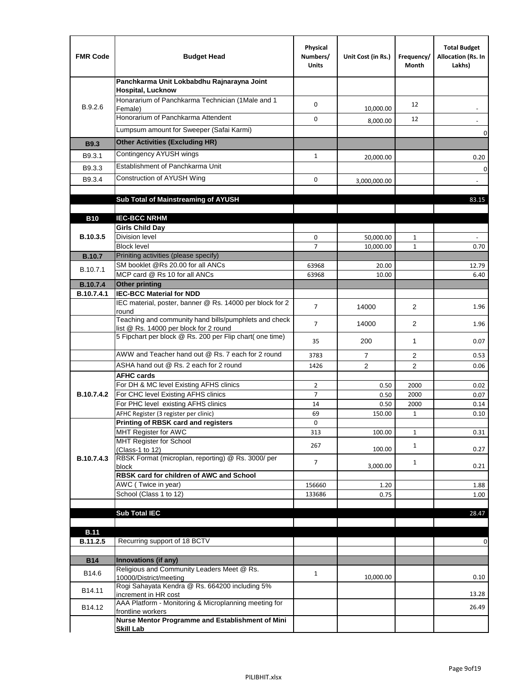| <b>FMR Code</b>               | <b>Budget Head</b>                                                                              | Physical<br>Numbers/<br><b>Units</b> | Unit Cost (in Rs.) | Frequency/<br>Month | <b>Total Budget</b><br>Allocation (Rs. In<br>Lakhs) |
|-------------------------------|-------------------------------------------------------------------------------------------------|--------------------------------------|--------------------|---------------------|-----------------------------------------------------|
|                               | Panchkarma Unit Lokbabdhu Rajnarayna Joint<br><b>Hospital, Lucknow</b>                          |                                      |                    |                     |                                                     |
| B.9.2.6                       | Honararium of Panchkarma Technician (1Male and 1<br>Female)                                     | 0                                    | 10,000.00          | 12                  |                                                     |
|                               | Honorarium of Panchkarma Attendent                                                              | 0                                    | 8,000.00           | 12                  |                                                     |
|                               | Lumpsum amount for Sweeper (Safai Karmi)                                                        |                                      |                    |                     | 0                                                   |
| <b>B9.3</b>                   | <b>Other Activities (Excluding HR)</b>                                                          |                                      |                    |                     |                                                     |
| B9.3.1                        | Contingency AYUSH wings                                                                         | $\mathbf{1}$                         | 20,000.00          |                     | 0.20                                                |
| B9.3.3                        | Establishment of Panchkarma Unit                                                                |                                      |                    |                     | $\mathbf 0$                                         |
| B9.3.4                        | Construction of AYUSH Wing                                                                      | 0                                    | 3,000,000.00       |                     |                                                     |
|                               |                                                                                                 |                                      |                    |                     |                                                     |
|                               | Sub Total of Mainstreaming of AYUSH                                                             |                                      |                    |                     | 83.15                                               |
|                               |                                                                                                 |                                      |                    |                     |                                                     |
| <b>B10</b>                    | <b>IEC-BCC NRHM</b>                                                                             |                                      |                    |                     |                                                     |
| B.10.3.5                      | <b>Girls Child Day</b><br><b>Division level</b>                                                 | 0                                    | 50,000.00          | 1                   |                                                     |
|                               | <b>Block level</b>                                                                              | $\overline{7}$                       | 10,000.00          | $\mathbf{1}$        | 0.70                                                |
| <b>B.10.7</b>                 | Priniting activities (please specify)                                                           |                                      |                    |                     |                                                     |
| B.10.7.1                      | SM booklet @Rs 20.00 for all ANCs                                                               | 63968                                | 20.00              |                     | 12.79                                               |
|                               | MCP card @ Rs 10 for all ANCs                                                                   | 63968                                | 10.00              |                     | 6.40                                                |
| <b>B.10.7.4</b><br>B.10.7.4.1 | <b>Other printing</b><br><b>IEC-BCC Material for NDD</b>                                        |                                      |                    |                     |                                                     |
|                               | IEC material, poster, banner @ Rs. 14000 per block for 2<br>round                               | $\overline{7}$                       | 14000              | $\overline{2}$      | 1.96                                                |
|                               | Teaching and community hand bills/pumphlets and check<br>list @ Rs. 14000 per block for 2 round | $\overline{7}$                       | 14000              | $\overline{2}$      | 1.96                                                |
|                               | 5 Fipchart per block @ Rs. 200 per Flip chart( one time)                                        | 35                                   | 200                | $\mathbf{1}$        | 0.07                                                |
|                               | AWW and Teacher hand out @ Rs. 7 each for 2 round                                               | 3783                                 | $\overline{7}$     | 2                   | 0.53                                                |
|                               | ASHA hand out @ Rs. 2 each for 2 round                                                          | 1426                                 | $\overline{2}$     | $\overline{2}$      | 0.06                                                |
|                               | <b>AFHC cards</b>                                                                               |                                      |                    |                     |                                                     |
|                               | For DH & MC level Existing AFHS clinics<br>For CHC level Existing AFHS clinics                  | $\overline{2}$                       | 0.50               | 2000                | 0.02                                                |
| <b>B.10.7.4.2</b>             | For PHC level existing AFHS clinics                                                             | $\overline{7}$<br>14                 | 0.50<br>0.50       | 2000<br>2000        | 0.07<br>0.14                                        |
|                               | AFHC Register (3 register per clinic)                                                           | 69                                   | 150.00             | $\mathbf{1}$        | 0.10                                                |
|                               | Printing of RBSK card and registers                                                             | 0                                    |                    |                     |                                                     |
|                               | MHT Register for AWC                                                                            | 313                                  | 100.00             | $\mathbf{1}$        | 0.31                                                |
|                               | MHT Register for School<br>(Class-1 to 12)                                                      | 267                                  | 100.00             | $\mathbf{1}$        | 0.27                                                |
| B.10.7.4.3                    | RBSK Format (microplan, reporting) @ Rs. 3000/ per                                              | 7                                    |                    | $\mathbf{1}$        |                                                     |
|                               | block<br>RBSK card for children of AWC and School                                               |                                      | 3,000.00           |                     | 0.21                                                |
|                               | AWC (Twice in year)                                                                             | 156660                               | 1.20               |                     | 1.88                                                |
|                               | School (Class 1 to 12)                                                                          | 133686                               | 0.75               |                     | $1.00\,$                                            |
|                               |                                                                                                 |                                      |                    |                     |                                                     |
|                               | <b>Sub Total IEC</b>                                                                            |                                      |                    |                     | 28.47                                               |
| <b>B.11</b>                   |                                                                                                 |                                      |                    |                     |                                                     |
| B.11.2.5                      | Recurring support of 18 BCTV                                                                    |                                      |                    |                     | 0                                                   |
|                               |                                                                                                 |                                      |                    |                     |                                                     |
| <b>B14</b>                    | Innovations (if any)                                                                            |                                      |                    |                     |                                                     |
| B14.6                         | Religious and Community Leaders Meet @ Rs.<br>10000/District/meeting                            | $\mathbf{1}$                         | 10,000.00          |                     | 0.10                                                |
| B14.11                        | Rogi Sahayata Kendra @ Rs. 664200 including 5%<br>increment in HR cost                          |                                      |                    |                     | 13.28                                               |
| B14.12                        | AAA Platform - Monitoring & Microplanning meeting for<br>frontline workers                      |                                      |                    |                     | 26.49                                               |
|                               | Nurse Mentor Programme and Establishment of Mini                                                |                                      |                    |                     |                                                     |
|                               | <b>Skill Lab</b>                                                                                |                                      |                    |                     |                                                     |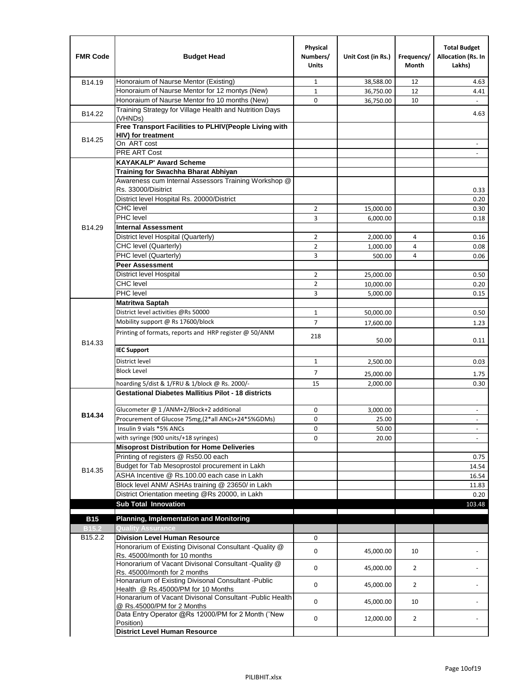| <b>FMR Code</b>   | <b>Budget Head</b>                                                                              | Physical<br>Numbers/<br><b>Units</b> | Unit Cost (in Rs.) | Frequency/<br><b>Month</b> | <b>Total Budget</b><br>Allocation (Rs. In<br>Lakhs) |
|-------------------|-------------------------------------------------------------------------------------------------|--------------------------------------|--------------------|----------------------------|-----------------------------------------------------|
| B14.19            | Honoraium of Naurse Mentor (Existing)                                                           | 1                                    | 38,588.00          | 12                         | 4.63                                                |
|                   | Honoraium of Naurse Mentor for 12 montys (New)                                                  | $\mathbf{1}$                         | 36,750.00          | 12                         | 4.41                                                |
|                   | Honoraium of Naurse Mentor fro 10 months (New)                                                  | 0                                    | 36,750.00          | 10                         | $\omega$                                            |
| B14.22            | Training Strategy for Village Health and Nutrition Days<br>(VHNDs)                              |                                      |                    |                            | 4.63                                                |
|                   | Free Transport Facilities to PLHIV(People Living with                                           |                                      |                    |                            |                                                     |
| B14.25            | <b>HIV)</b> for treatment                                                                       |                                      |                    |                            |                                                     |
|                   | On ART cost                                                                                     |                                      |                    |                            |                                                     |
|                   | PRE ART Cost                                                                                    |                                      |                    |                            |                                                     |
|                   | <b>KAYAKALP' Award Scheme</b>                                                                   |                                      |                    |                            |                                                     |
|                   | Training for Swachha Bharat Abhiyan                                                             |                                      |                    |                            |                                                     |
|                   | Awareness cum Internal Assessors Training Workshop @                                            |                                      |                    |                            |                                                     |
|                   | Rs. 33000/Disitrict                                                                             |                                      |                    |                            | 0.33                                                |
|                   | District level Hospital Rs. 20000/District<br><b>CHC</b> level                                  |                                      |                    |                            | 0.20                                                |
|                   | <b>PHC</b> level                                                                                | $\overline{2}$                       | 15,000.00          |                            | 0.30                                                |
|                   |                                                                                                 | 3                                    | 6,000.00           |                            | 0.18                                                |
| B14.29            | <b>Internal Assessment</b>                                                                      |                                      |                    |                            |                                                     |
|                   | District level Hospital (Quarterly)                                                             | 2                                    | 2,000.00           | 4                          | 0.16                                                |
|                   | CHC level (Quarterly)                                                                           | $\overline{2}$                       | 1,000.00           | 4                          | 0.08                                                |
|                   | PHC level (Quarterly)<br><b>Peer Assessment</b>                                                 | 3                                    | 500.00             | 4                          | 0.06                                                |
|                   | <b>District level Hospital</b>                                                                  |                                      |                    |                            |                                                     |
|                   | <b>CHC</b> level                                                                                | 2                                    | 25.000.00          |                            | 0.50                                                |
|                   | PHC level                                                                                       | $\overline{2}$<br>3                  | 10,000.00          |                            | 0.20<br>0.15                                        |
|                   |                                                                                                 |                                      | 5,000.00           |                            |                                                     |
|                   | Matritwa Saptah<br>District level activities @Rs 50000                                          | $\mathbf{1}$                         |                    |                            | 0.50                                                |
|                   |                                                                                                 |                                      | 50,000.00          |                            |                                                     |
|                   | Mobility support @ Rs 17600/block                                                               | $\overline{7}$                       | 17,600.00          |                            | 1.23                                                |
| B14.33            | Printing of formats, reports and HRP register @ 50/ANM                                          | 218                                  | 50.00              |                            | 0.11                                                |
|                   | <b>IEC Support</b>                                                                              |                                      |                    |                            |                                                     |
|                   | District level                                                                                  | 1                                    | 2,500.00           |                            | 0.03                                                |
|                   | <b>Block Level</b>                                                                              | 7                                    | 25,000.00          |                            | 1.75                                                |
|                   | hoarding 5/dist & 1/FRU & 1/block @ Rs. 2000/-                                                  | 15                                   | 2,000.00           |                            | 0.30                                                |
|                   | <b>Gestational Diabetes Mallitius Pilot - 18 districts</b>                                      |                                      |                    |                            |                                                     |
|                   | Glucometer @ 1 /ANM+2/Block+2 additional                                                        | 0                                    | 3,000.00           |                            | $\overline{\phantom{a}}$                            |
| B14.34            | Procurement of Glucose 75mg, (2*all ANCs+24*5%GDMs)                                             | 0                                    | 25.00              |                            |                                                     |
|                   | Insulin 9 vials *5% ANCs                                                                        | 0                                    | 50.00              |                            | $\overline{\phantom{a}}$                            |
|                   | with syringe (900 units/+18 syringes)                                                           | 0                                    | 20.00              |                            |                                                     |
|                   | <b>Misoprost Distribution for Home Deliveries</b>                                               |                                      |                    |                            |                                                     |
|                   | Printing of registers @ Rs50.00 each                                                            |                                      |                    |                            | 0.75                                                |
|                   | Budget for Tab Mesoprostol procurement in Lakh                                                  |                                      |                    |                            | 14.54                                               |
| B14.35            | ASHA Incentive @ Rs.100.00 each case in Lakh                                                    |                                      |                    |                            | 16.54                                               |
|                   | Block level ANM/ ASHAs training @ 23650/ in Lakh                                                |                                      |                    |                            | 11.83                                               |
|                   | District Orientation meeting @Rs 20000, in Lakh                                                 |                                      |                    |                            | 0.20                                                |
|                   | <b>Sub Total Innovation</b>                                                                     |                                      |                    |                            | 103.48                                              |
| <b>B15</b>        | <b>Planning, Implementation and Monitoring</b>                                                  |                                      |                    |                            |                                                     |
| B <sub>15.2</sub> | <b>Quality Assurance</b>                                                                        |                                      |                    |                            |                                                     |
| B15.2.2           | <b>Division Level Human Resource</b>                                                            | 0                                    |                    |                            |                                                     |
|                   | Honorarium of Existing Divisonal Consultant -Quality @                                          |                                      |                    |                            |                                                     |
|                   | Rs. 45000/month for 10 months                                                                   | 0                                    | 45,000.00          | 10                         |                                                     |
|                   | Honorarium of Vacant Divisonal Consultant -Quality @                                            | 0                                    | 45,000.00          | $\overline{2}$             |                                                     |
|                   | Rs. 45000/month for 2 months                                                                    |                                      |                    |                            |                                                     |
|                   | Honararium of Existing Divisonal Consultant - Public                                            | 0                                    | 45,000.00          | $\overline{2}$             |                                                     |
|                   | Health @ Rs.45000/PM for 10 Months<br>Honararium of Vacant Divisonal Consultant - Public Health |                                      |                    |                            |                                                     |
|                   | @ Rs.45000/PM for 2 Months                                                                      | 0                                    | 45,000.00          | 10                         |                                                     |
|                   | Data Entry Operator @Rs 12000/PM for 2 Month ("New<br>Position)                                 | 0                                    | 12,000.00          | $\overline{2}$             |                                                     |
|                   | <b>District Level Human Resource</b>                                                            |                                      |                    |                            |                                                     |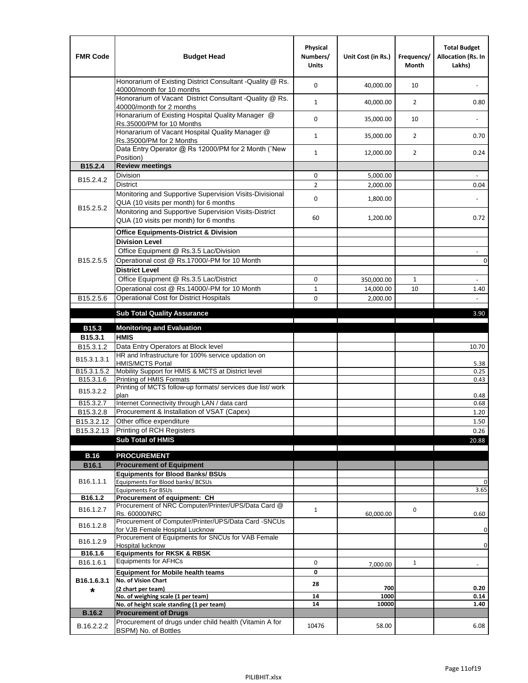| <b>FMR Code</b>         | <b>Budget Head</b>                                                                                | Physical<br>Numbers/<br><b>Units</b> | Unit Cost (in Rs.) | Frequency/<br><b>Month</b> | <b>Total Budget</b><br>Allocation (Rs. In<br>Lakhs) |
|-------------------------|---------------------------------------------------------------------------------------------------|--------------------------------------|--------------------|----------------------------|-----------------------------------------------------|
|                         | Honorarium of Existing District Consultant -Quality @ Rs.<br>40000/month for 10 months            | $\mathbf 0$                          | 40,000.00          | 10                         |                                                     |
|                         | Honorarium of Vacant District Consultant -Quality @ Rs.<br>40000/month for 2 months               | $\mathbf{1}$                         | 40,000.00          | $\overline{2}$             | 0.80                                                |
|                         | Honararium of Existing Hospital Quality Manager @<br>Rs.35000/PM for 10 Months                    | 0                                    | 35,000.00          | 10                         |                                                     |
|                         | Honararium of Vacant Hospital Quality Manager @<br>Rs.35000/PM for 2 Months                       | $\mathbf{1}$                         | 35,000.00          | $\overline{2}$             | 0.70                                                |
|                         | Data Entry Operator @ Rs 12000/PM for 2 Month ("New<br>Position)                                  | $\mathbf{1}$                         | 12,000.00          | $\overline{2}$             | 0.24                                                |
| B15.2.4                 | <b>Review meetings</b>                                                                            |                                      |                    |                            |                                                     |
| B <sub>15.2</sub> .4.2  | Division                                                                                          | 0                                    | 5,000.00           |                            |                                                     |
|                         | <b>District</b>                                                                                   | $\overline{2}$                       | 2,000.00           |                            | 0.04                                                |
| B15.2.5.2               | Monitoring and Supportive Supervision Visits-Divisional<br>QUA (10 visits per month) for 6 months | $\mathbf 0$                          | 1,800.00           |                            |                                                     |
|                         | Monitoring and Supportive Supervision Visits-District<br>QUA (10 visits per month) for 6 months   | 60                                   | 1,200.00           |                            | 0.72                                                |
|                         | <b>Office Equipments-District &amp; Division</b>                                                  |                                      |                    |                            |                                                     |
|                         | <b>Division Level</b>                                                                             |                                      |                    |                            |                                                     |
|                         | Office Equipment @ Rs.3.5 Lac/Division                                                            |                                      |                    |                            | $\sim$                                              |
| B15.2.5.5               | Operational cost @ Rs.17000/-PM for 10 Month                                                      |                                      |                    |                            | $\pmb{0}$                                           |
|                         | <b>District Level</b>                                                                             |                                      |                    |                            |                                                     |
|                         | Office Equipment @ Rs.3.5 Lac/District                                                            | 0                                    | 350,000.00         | 1                          | $\blacksquare$                                      |
|                         | Operational cost @ Rs.14000/-PM for 10 Month                                                      | $1\,$                                | 14,000.00          | 10                         | 1.40                                                |
| B15.2.5.6               | <b>Operational Cost for District Hospitals</b>                                                    | 0                                    | 2,000.00           |                            | $\mathbf{r}$                                        |
|                         | <b>Sub Total Quality Assurance</b>                                                                |                                      |                    |                            | 3.90                                                |
| B15.3                   | <b>Monitoring and Evaluation</b>                                                                  |                                      |                    |                            |                                                     |
| B15.3.1                 | <b>HMIS</b>                                                                                       |                                      |                    |                            |                                                     |
| B15.3.1.2               | Data Entry Operators at Block level                                                               |                                      |                    |                            | 10.70                                               |
| B15.3.1.3.1             | HR and Infrastructure for 100% service updation on<br><b>HMIS/MCTS Portal</b>                     |                                      |                    |                            | 5.38                                                |
| B <sub>15.3.1.5.2</sub> | Mobility Support for HMIS & MCTS at District level                                                |                                      |                    |                            | 0.25                                                |
| B15.3.1.6               | Printing of HMIS Formats<br>Printing of MCTS follow-up formats/ services due list/ work           |                                      |                    |                            | 0.43                                                |
| B15.3.2.2               | plan                                                                                              |                                      |                    |                            | 0.48                                                |
| B15.3.2.7               | Internet Connectivity through LAN / data card                                                     |                                      |                    |                            | 0.68                                                |
| B15.3.2.8               | Procurement & Installation of VSAT (Capex)                                                        |                                      |                    |                            | 1.20                                                |
| B15.3.2.12              | Other office expenditure                                                                          |                                      |                    |                            | 1.50                                                |
| B15.3.2.13              | Printing of RCH Registers                                                                         |                                      |                    |                            | 0.26                                                |
|                         | <b>Sub Total of HMIS</b>                                                                          |                                      |                    |                            | 20.88                                               |
| <b>B.16</b>             | <b>PROCUREMENT</b>                                                                                |                                      |                    |                            |                                                     |
| B16.1                   | <b>Procurement of Equipment</b>                                                                   |                                      |                    |                            |                                                     |
|                         | <b>Equipments for Blood Banks/ BSUs</b>                                                           |                                      |                    |                            |                                                     |
| B16.1.1.1               | Equipments For Blood banks/ BCSUs                                                                 |                                      |                    |                            | 0                                                   |
| B16.1.2                 | <b>Equipments For BSUs</b><br>Procurement of equipment: CH                                        |                                      |                    |                            | 3.65                                                |
|                         | Procurement of NRC Computer/Printer/UPS/Data Card @                                               |                                      |                    |                            |                                                     |
| B16.1.2.7               | Rs. 60000/NRC                                                                                     | $\mathbf{1}$                         | 60,000.00          | 0                          | 0.60                                                |
| B16.1.2.8               | Procurement of Computer/Printer/UPS/Data Card -SNCUs                                              |                                      |                    |                            |                                                     |
|                         | for VJB Female Hospital Lucknow<br>Procurement of Equipments for SNCUs for VAB Female             |                                      |                    |                            | 0                                                   |
| B16.1.2.9               | Hospital lucknow                                                                                  |                                      |                    |                            | 0                                                   |
| B16.1.6                 | <b>Equipments for RKSK &amp; RBSK</b>                                                             |                                      |                    |                            |                                                     |
| B16.1.6.1               | <b>Equipments for AFHCs</b>                                                                       | 0                                    | 7,000.00           | $\mathbf{1}$               | ÷,                                                  |
|                         | <b>Equipment for Mobile health teams</b>                                                          | 0                                    |                    |                            |                                                     |
| B16.1.6.3.1             | No. of Vision Chart<br>(2 chart per team)                                                         | 28                                   | 700                |                            | 0.20                                                |
| *                       | No. of weighing scale (1 per team)                                                                | ${\bf 14}$                           | 1000               |                            | 0.14                                                |
|                         | No. of height scale standing (1 per team)                                                         | 14                                   | 10000              |                            | 1.40                                                |
| <b>B.16.2</b>           | <b>Procurement of Drugs</b>                                                                       |                                      |                    |                            |                                                     |
| B.16.2.2.2              | Procurement of drugs under child health (Vitamin A for<br>BSPM) No. of Bottles                    | 10476                                | 58.00              |                            | 6.08                                                |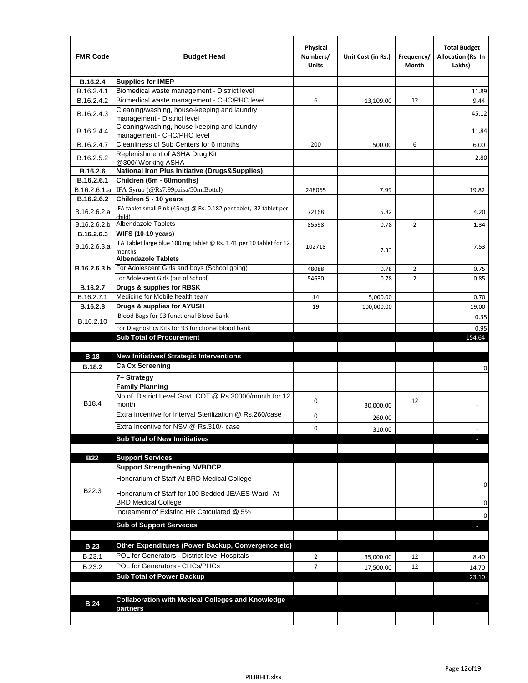| <b>FMR Code</b> | <b>Budget Head</b>                                                            | Physical<br>Numbers/<br><b>Units</b> | Unit Cost (in Rs.) | Frequency/<br>Month | <b>Total Budget</b><br>Allocation (Rs. In<br>Lakhs) |
|-----------------|-------------------------------------------------------------------------------|--------------------------------------|--------------------|---------------------|-----------------------------------------------------|
| B.16.2.4        | <b>Supplies for IMEP</b>                                                      |                                      |                    |                     |                                                     |
| B.16.2.4.1      | Biomedical waste management - District level                                  |                                      |                    |                     | 11.89                                               |
| B.16.2.4.2      | Biomedical waste management - CHC/PHC level                                   | 6                                    | 13,109.00          | 12                  | 9.44                                                |
| B.16.2.4.3      | Cleaning/washing, house-keeping and laundry<br>management - District level    |                                      |                    |                     | 45.12                                               |
| B.16.2.4.4      | Cleaning/washing, house-keeping and laundry<br>management - CHC/PHC level     |                                      |                    |                     | 11.84                                               |
| B.16.2.4.7      | Cleanliness of Sub Centers for 6 months                                       | 200                                  | 500.00             | 6                   | 6.00                                                |
| B.16.2.5.2      | Replenishment of ASHA Drug Kit<br>@300/ Working ASHA                          |                                      |                    |                     | 2.80                                                |
| B.16.2.6        | <b>National Iron Plus Initiative (Drugs&amp;Supplies)</b>                     |                                      |                    |                     |                                                     |
| B.16.2.6.1      | Children (6m - 60months)                                                      |                                      |                    |                     |                                                     |
| B.16.2.6.1.a    | IFA Syrup (@Rs7.99paisa/50mlBottel)                                           | 248065                               | 7.99               |                     | 19.82                                               |
| B.16.2.6.2      | Children 5 - 10 years                                                         |                                      |                    |                     |                                                     |
| B.16.2.6.2.a    | IFA tablet small Pink (45mg) @ Rs. 0.182 per tablet, 32 tablet per<br>child)  | 72168                                | 5.82               |                     | 4.20                                                |
| B.16.2.6.2.b    | <b>Albendazole Tablets</b>                                                    | 85598                                | 0.78               | 2                   | 1.34                                                |
| B.16.2.6.3      | <b>WIFS (10-19 years)</b>                                                     |                                      |                    |                     |                                                     |
| B.16.2.6.3.a    | IFA Tablet large blue 100 mg tablet @ Rs. 1.41 per 10 tablet for 12<br>months | 102718                               | 7.33               |                     | 7.53                                                |
|                 | <b>Albendazole Tablets</b>                                                    |                                      |                    |                     |                                                     |
| B.16.2.6.3.b    | For Adolescent Girls and boys (School going)                                  | 48088                                | 0.78               | $\overline{2}$      | 0.75                                                |
|                 | For Adolescent Girls (out of School)                                          | 54630                                | 0.78               | $\overline{2}$      | 0.85                                                |
| B.16.2.7        | Drugs & supplies for RBSK                                                     |                                      |                    |                     |                                                     |
| B.16.2.7.1      | Medicine for Mobile health team                                               | 14                                   | 5,000.00           |                     | 0.70                                                |
| <b>B.16.2.8</b> | Drugs & supplies for AYUSH                                                    | 19                                   | 100,000.00         |                     | 19.00                                               |
| B.16.2.10       | Blood Bags for 93 functional Blood Bank                                       |                                      |                    |                     | 0.35                                                |
|                 | For Diagnostics Kits for 93 functional blood bank                             |                                      |                    |                     | 0.95                                                |
|                 | <b>Sub Total of Procurement</b>                                               |                                      |                    |                     | 154.64                                              |
| <b>B.18</b>     | <b>New Initiatives/ Strategic Interventions</b>                               |                                      |                    |                     |                                                     |
|                 | <b>Ca Cx Screening</b>                                                        |                                      |                    |                     |                                                     |
| <b>B.18.2</b>   |                                                                               |                                      |                    |                     | 0                                                   |
|                 | 7+ Strategy<br><b>Family Planning</b>                                         |                                      |                    |                     |                                                     |
| B18.4           | No of District Level Govt, COT @ Rs.30000/month for 12<br>month               | 0                                    |                    | 12                  |                                                     |
|                 | Extra Incentive for Interval Sterilization @ Rs.260/case                      |                                      | 30,000.00          |                     |                                                     |
|                 |                                                                               | 0                                    | 260.00             |                     |                                                     |
|                 | Extra Incentive for NSV @ Rs.310/- case                                       | 0                                    | 310.00             |                     |                                                     |
|                 | <b>Sub Total of New Innitiatives</b>                                          |                                      |                    |                     |                                                     |
|                 |                                                                               |                                      |                    |                     |                                                     |
| <b>B22</b>      | <b>Support Services</b><br><b>Support Strengthening NVBDCP</b>                |                                      |                    |                     |                                                     |
|                 | Honorarium of Staff-At BRD Medical College                                    |                                      |                    |                     |                                                     |
| B22.3           | Honorarium of Staff for 100 Bedded JE/AES Ward -At                            |                                      |                    |                     | 0                                                   |
|                 | <b>BRD Medical College</b><br>Increament of Existing HR Catculated @ 5%       |                                      |                    |                     | 0                                                   |
|                 | <b>Sub of Support Serveces</b>                                                |                                      |                    |                     | 0                                                   |
|                 |                                                                               |                                      |                    |                     |                                                     |
| <b>B.23</b>     | Other Expenditures (Power Backup, Convergence etc)                            |                                      |                    |                     |                                                     |
|                 | POL for Generators - District level Hospitals                                 |                                      |                    |                     |                                                     |
| B.23.1          | POL for Generators - CHCs/PHCs                                                | $\overline{2}$                       | 35,000.00          | 12                  | 8.40                                                |
| B.23.2          | <b>Sub Total of Power Backup</b>                                              | $\overline{7}$                       | 17,500.00          | 12                  | 14.70                                               |
|                 |                                                                               |                                      |                    |                     | 23.10                                               |
|                 | <b>Collaboration with Medical Colleges and Knowledge</b>                      |                                      |                    |                     |                                                     |
| <b>B.24</b>     | partners                                                                      |                                      |                    |                     |                                                     |
|                 |                                                                               |                                      |                    |                     |                                                     |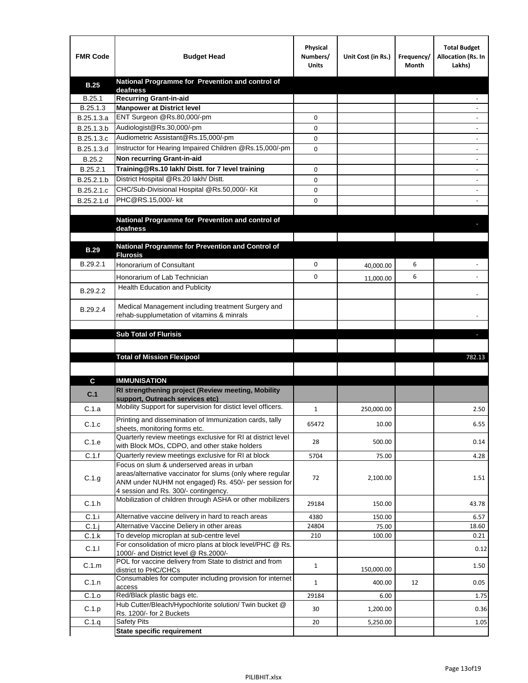| <b>FMR Code</b> | <b>Budget Head</b>                                                                                            | Physical<br>Numbers/<br><b>Units</b> | Unit Cost (in Rs.) | Frequency/<br>Month | <b>Total Budget</b><br>Allocation (Rs. In<br>Lakhs) |
|-----------------|---------------------------------------------------------------------------------------------------------------|--------------------------------------|--------------------|---------------------|-----------------------------------------------------|
| <b>B.25</b>     | National Programme for Prevention and control of                                                              |                                      |                    |                     |                                                     |
| B.25.1          | deafness<br><b>Recurring Grant-in-aid</b>                                                                     |                                      |                    |                     |                                                     |
| B.25.1.3        | <b>Manpower at District level</b>                                                                             |                                      |                    |                     |                                                     |
| B.25.1.3.a      | ENT Surgeon @Rs.80,000/-pm                                                                                    | 0                                    |                    |                     |                                                     |
| B.25.1.3.b      | Audiologist@Rs.30,000/-pm                                                                                     | 0                                    |                    |                     |                                                     |
| B.25.1.3.c      | Audiometric Assistant@Rs.15,000/-pm                                                                           | 0                                    |                    |                     |                                                     |
| B.25.1.3.d      | Instructor for Hearing Impaired Children @Rs.15,000/-pm                                                       | 0                                    |                    |                     |                                                     |
| B.25.2          | Non recurring Grant-in-aid                                                                                    |                                      |                    |                     |                                                     |
| B.25.2.1        | Training@Rs.10 lakh/ Distt. for 7 level training                                                              | 0                                    |                    |                     |                                                     |
| B.25.2.1.b      | District Hospital @Rs.20 lakh/Distt.                                                                          | 0                                    |                    |                     |                                                     |
| B.25.2.1.c      | CHC/Sub-Divisional Hospital @Rs.50,000/- Kit                                                                  | 0                                    |                    |                     |                                                     |
| B.25.2.1.d      | PHC@RS.15,000/- kit                                                                                           | 0                                    |                    |                     |                                                     |
|                 |                                                                                                               |                                      |                    |                     |                                                     |
|                 | National Programme for Prevention and control of<br>deafness                                                  |                                      |                    |                     |                                                     |
|                 |                                                                                                               |                                      |                    |                     |                                                     |
| <b>B.29</b>     | National Programme for Prevention and Control of                                                              |                                      |                    |                     |                                                     |
|                 | <b>Flurosis</b>                                                                                               |                                      |                    |                     |                                                     |
| B.29.2.1        | Honorarium of Consultant                                                                                      | 0                                    | 40,000.00          | 6                   |                                                     |
|                 | Honorarium of Lab Technician                                                                                  | 0                                    | 11,000.00          | 6                   |                                                     |
| B.29.2.2        | Health Education and Publicity                                                                                |                                      |                    |                     |                                                     |
|                 |                                                                                                               |                                      |                    |                     |                                                     |
| B.29.2.4        | Medical Management including treatment Surgery and<br>rehab-supplumetation of vitamins & minrals              |                                      |                    |                     |                                                     |
|                 |                                                                                                               |                                      |                    |                     |                                                     |
|                 | <b>Sub Total of Flurisis</b>                                                                                  |                                      |                    |                     | ь                                                   |
|                 |                                                                                                               |                                      |                    |                     |                                                     |
|                 | <b>Total of Mission Flexipool</b>                                                                             |                                      |                    |                     | 782.13                                              |
|                 |                                                                                                               |                                      |                    |                     |                                                     |
| C               | <b>IMMUNISATION</b>                                                                                           |                                      |                    |                     |                                                     |
|                 | RI strengthening project (Review meeting, Mobility                                                            |                                      |                    |                     |                                                     |
| C.1             | support, Outreach services etc)                                                                               |                                      |                    |                     |                                                     |
| C.1.a           | Mobility Support for supervision for distict level officers.                                                  | 1                                    | 250,000.00         |                     | 2.50                                                |
| C.1.c           | Printing and dissemination of Immunization cards, tally                                                       | 65472                                | 10.00              |                     | 6.55                                                |
|                 | sheets, monitoring forms etc.                                                                                 |                                      |                    |                     |                                                     |
| C.1.e           | Quarterly review meetings exclusive for RI at district level<br>with Block MOs, CDPO, and other stake holders | 28                                   | 500.00             |                     | 0.14                                                |
| C.1.f           | Quarterly review meetings exclusive for RI at block                                                           | 5704                                 | 75.00              |                     | 4.28                                                |
|                 | Focus on slum & underserved areas in urban                                                                    |                                      |                    |                     |                                                     |
| C.1.g           | areas/alternative vaccinator for slums (only where regular                                                    | 72                                   | 2,100.00           |                     | 1.51                                                |
|                 | ANM under NUHM not engaged) Rs. 450/- per session for<br>4 session and Rs. 300/- contingency.                 |                                      |                    |                     |                                                     |
|                 | Mobilization of children through ASHA or other mobilizers                                                     |                                      |                    |                     |                                                     |
| C.1.h           |                                                                                                               | 29184                                | 150.00             |                     | 43.78                                               |
| C.1.i           | Alternative vaccine delivery in hard to reach areas                                                           | 4380                                 | 150.00             |                     | 6.57                                                |
| $C.1$ .j        | Alternative Vaccine Deliery in other areas                                                                    | 24804                                | 75.00              |                     | 18.60                                               |
| C.1.k           | To develop microplan at sub-centre level<br>For consolidation of micro plans at block level/PHC @ Rs.         | 210                                  | 100.00             |                     | 0.21                                                |
| C.1.1           | 1000/- and District level @ Rs.2000/-                                                                         |                                      |                    |                     | 0.12                                                |
| C.1.m           | POL for vaccine delivery from State to district and from                                                      | $\mathbf{1}$                         |                    |                     | 1.50                                                |
|                 | district to PHC/CHCs<br>Consumables for computer including provision for internet                             |                                      | 150,000.00         |                     |                                                     |
| C.1.n           | access                                                                                                        | $\mathbf{1}$                         | 400.00             | 12                  | 0.05                                                |
| C.1.o           | Red/Black plastic bags etc.                                                                                   | 29184                                | 6.00               |                     | 1.75                                                |
| C.1.p           | Hub Cutter/Bleach/Hypochlorite solution/ Twin bucket @                                                        | 30                                   | 1,200.00           |                     | 0.36                                                |
|                 | Rs. 1200/- for 2 Buckets                                                                                      | 20                                   |                    |                     |                                                     |
| C.1.q           | <b>Safety Pits</b><br><b>State specific requirement</b>                                                       |                                      | 5,250.00           |                     | 1.05                                                |
|                 |                                                                                                               |                                      |                    |                     |                                                     |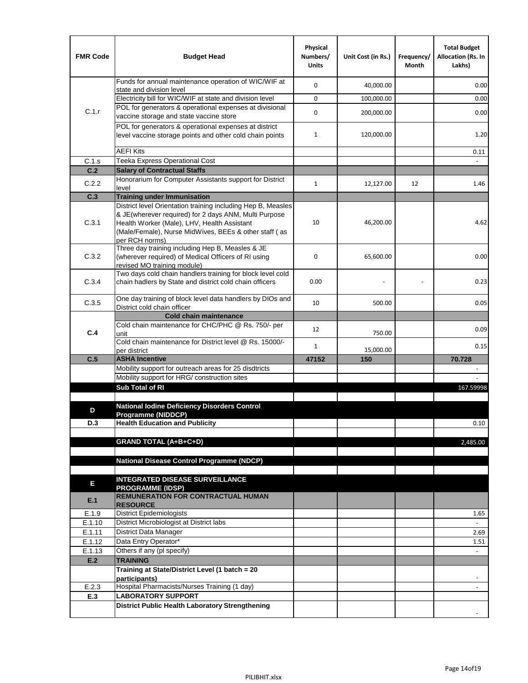| <b>FMR Code</b> | <b>Budget Head</b>                                                                                                                                                              | Physical<br>Numbers/<br><b>Units</b> | Unit Cost (in Rs.) | Frequency/<br>Month | <b>Total Budget</b><br><b>Allocation (Rs. In</b><br>Lakhs) |
|-----------------|---------------------------------------------------------------------------------------------------------------------------------------------------------------------------------|--------------------------------------|--------------------|---------------------|------------------------------------------------------------|
|                 | Funds for annual maintenance operation of WIC/WIF at<br>state and division level                                                                                                | $\mathbf 0$                          | 40,000.00          |                     | 0.00                                                       |
|                 | Electricity bill for WIC/WIF at state and division level                                                                                                                        | $\mathbf 0$                          | 100,000.00         |                     | 0.00                                                       |
| C.1.r           | POL for generators & operational expenses at divisional                                                                                                                         | $\mathbf 0$                          |                    |                     |                                                            |
|                 | vaccine storage and state vaccine store                                                                                                                                         |                                      | 200,000.00         |                     | 0.00                                                       |
|                 | POL for generators & operational expenses at district<br>level vaccine storage points and other cold chain points                                                               | $\mathbf{1}$                         | 120,000.00         |                     | 1.20                                                       |
|                 | <b>AEFI Kits</b>                                                                                                                                                                |                                      |                    |                     | 0.11                                                       |
| C.1.s           | Teeka Express Operational Cost                                                                                                                                                  |                                      |                    |                     |                                                            |
| C.2             | <b>Salary of Contractual Staffs</b>                                                                                                                                             |                                      |                    |                     |                                                            |
| C.2.2           | Honorarium for Computer Assistants support for District<br>level                                                                                                                | $\mathbf{1}$                         | 12,127.00          | 12                  | 1.46                                                       |
| C.3             | <b>Training under Immunisation</b>                                                                                                                                              |                                      |                    |                     |                                                            |
|                 | District level Orientation training including Hep B, Measles                                                                                                                    |                                      |                    |                     |                                                            |
| C.3.1           | & JE(wherever required) for 2 days ANM, Multi Purpose<br>Health Worker (Male), LHV, Health Assistant<br>(Male/Female), Nurse MidWives, BEEs & other staff (as<br>per RCH norms) | 10                                   | 46,200.00          |                     | 4.62                                                       |
| C.3.2           | Three day training including Hep B, Measles & JE<br>(wherever required) of Medical Officers of RI using<br>revised MO training module)                                          | $\mathbf 0$                          | 65,600.00          |                     | 0.00                                                       |
| C.3.4           | Two days cold chain handlers training for block level cold<br>chain hadlers by State and district cold chain officers                                                           | 0.00                                 |                    |                     | 0.23                                                       |
| C.3.5           | One day training of block level data handlers by DIOs and<br>District cold chain officer                                                                                        | 10                                   | 500.00             |                     | 0.05                                                       |
|                 | <b>Cold chain maintenance</b>                                                                                                                                                   |                                      |                    |                     |                                                            |
| C.4             | Cold chain maintenance for CHC/PHC @ Rs. 750/- per                                                                                                                              | 12                                   |                    |                     | 0.09                                                       |
|                 | unit<br>Cold chain maintenance for District level @ Rs. 15000/-                                                                                                                 | $\mathbf{1}$                         | 750.00             |                     | 0.15                                                       |
| C.5             | per district<br><b>ASHA Incentive</b>                                                                                                                                           | 47152                                | 15,000.00<br>150   |                     | 70.728                                                     |
|                 | Mobility support for outreach areas for 25 disdtricts                                                                                                                           |                                      |                    |                     |                                                            |
|                 | Mobility support for HRG/ construction sites                                                                                                                                    |                                      |                    |                     |                                                            |
|                 | Sub Total of RI                                                                                                                                                                 |                                      |                    |                     | 167.59998                                                  |
|                 |                                                                                                                                                                                 |                                      |                    |                     |                                                            |
| D               | <b>National Iodine Deficiency Disorders Control</b>                                                                                                                             |                                      |                    |                     |                                                            |
| D.3             | Programme (NIDDCP)<br><b>Health Education and Publicity</b>                                                                                                                     |                                      |                    |                     | 0.10                                                       |
|                 |                                                                                                                                                                                 |                                      |                    |                     |                                                            |
|                 | <b>GRAND TOTAL (A+B+C+D)</b>                                                                                                                                                    |                                      |                    |                     | 2,485.00                                                   |
|                 |                                                                                                                                                                                 |                                      |                    |                     |                                                            |
|                 | <b>National Disease Control Programme (NDCP)</b>                                                                                                                                |                                      |                    |                     |                                                            |
|                 |                                                                                                                                                                                 |                                      |                    |                     |                                                            |
| Е               | <b>INTEGRATED DISEASE SURVEILLANCE</b>                                                                                                                                          |                                      |                    |                     |                                                            |
| E.1             | <b>PROGRAMME (IDSP)</b><br><b>REMUNERATION FOR CONTRACTUAL HUMAN</b><br><b>RESOURCE</b>                                                                                         |                                      |                    |                     |                                                            |
| E.1.9           | District Epidemiologists                                                                                                                                                        |                                      |                    |                     | 1.65                                                       |
| E.1.10          | District Microbiologist at District labs                                                                                                                                        |                                      |                    |                     |                                                            |
| E.1.11          | District Data Manager                                                                                                                                                           |                                      |                    |                     | 2.69                                                       |
| E.1.12          | Data Entry Operator*                                                                                                                                                            |                                      |                    |                     | 1.51                                                       |
| E.1.13<br>E.2   | Others if any (pl specify)<br><b>TRAINING</b>                                                                                                                                   |                                      |                    |                     | $\omega$                                                   |
|                 | Training at State/District Level (1 batch = 20                                                                                                                                  |                                      |                    |                     |                                                            |
|                 | participants)                                                                                                                                                                   |                                      |                    |                     |                                                            |
| E.2.3           | Hospital Pharmacists/Nurses Training (1 day)                                                                                                                                    |                                      |                    |                     |                                                            |
| E.3             | <b>LABORATORY SUPPORT</b>                                                                                                                                                       |                                      |                    |                     |                                                            |
|                 | <b>District Public Health Laboratory Strengthening</b>                                                                                                                          |                                      |                    |                     |                                                            |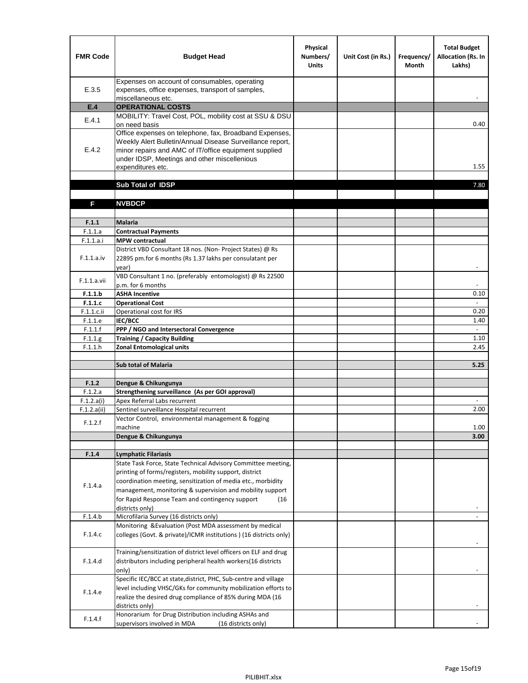| <b>FMR Code</b>           | <b>Budget Head</b>                                                                                                                                                                                                                                | Physical<br>Numbers/<br><b>Units</b> | Unit Cost (in Rs.) | Frequency/<br><b>Month</b> | <b>Total Budget</b><br>Allocation (Rs. In<br>Lakhs) |
|---------------------------|---------------------------------------------------------------------------------------------------------------------------------------------------------------------------------------------------------------------------------------------------|--------------------------------------|--------------------|----------------------------|-----------------------------------------------------|
| E.3.5                     | Expenses on account of consumables, operating<br>expenses, office expenses, transport of samples,<br>miscellaneous etc.                                                                                                                           |                                      |                    |                            |                                                     |
| E.4                       | <b>OPERATIONAL COSTS</b>                                                                                                                                                                                                                          |                                      |                    |                            |                                                     |
| E.4.1                     | MOBILITY: Travel Cost, POL, mobility cost at SSU & DSU<br>on need basis                                                                                                                                                                           |                                      |                    |                            | 0.40                                                |
| E.4.2                     | Office expenses on telephone, fax, Broadband Expenses,<br>Weekly Alert Bulletin/Annual Disease Surveillance report,<br>minor repairs and AMC of IT/office equipment supplied<br>under IDSP, Meetings and other miscellenious<br>expenditures etc. |                                      |                    |                            | 1.55                                                |
|                           | Sub Total of IDSP                                                                                                                                                                                                                                 |                                      |                    |                            | 7.80                                                |
|                           |                                                                                                                                                                                                                                                   |                                      |                    |                            |                                                     |
| F                         | <b>NVBDCP</b>                                                                                                                                                                                                                                     |                                      |                    |                            |                                                     |
| F.1.1                     | Malaria                                                                                                                                                                                                                                           |                                      |                    |                            |                                                     |
| F.1.1.a                   | <b>Contractual Payments</b>                                                                                                                                                                                                                       |                                      |                    |                            |                                                     |
| F.1.1.a.i                 | <b>MPW</b> contractual                                                                                                                                                                                                                            |                                      |                    |                            |                                                     |
| F.1.1.a.iv                | District VBD Consultant 18 nos. (Non-Project States) @ Rs<br>22895 pm.for 6 months (Rs 1.37 lakhs per consulatant per<br>year)                                                                                                                    |                                      |                    |                            | $\blacksquare$                                      |
| F.1.1.a.vii               | VBD Consultant 1 no. (preferably entomologist) @ Rs 22500<br>p.m. for 6 months                                                                                                                                                                    |                                      |                    |                            |                                                     |
| F.1.1.b                   | <b>ASHA Incentive</b>                                                                                                                                                                                                                             |                                      |                    |                            | 0.10                                                |
| F.1.1.c                   | <b>Operational Cost</b>                                                                                                                                                                                                                           |                                      |                    |                            | $\blacksquare$                                      |
| F.1.1.c.ii                | Operational cost for IRS                                                                                                                                                                                                                          |                                      |                    |                            | 0.20                                                |
| F.1.1.e                   | IEC/BCC                                                                                                                                                                                                                                           |                                      |                    |                            | 1.40                                                |
| F.1.1.f                   | PPP / NGO and Intersectoral Convergence                                                                                                                                                                                                           |                                      |                    |                            | $\sim$<br>1.10                                      |
| F.1.1.g<br>F.1.1.h        | <b>Training / Capacity Building</b><br><b>Zonal Entomological units</b>                                                                                                                                                                           |                                      |                    |                            | 2.45                                                |
|                           |                                                                                                                                                                                                                                                   |                                      |                    |                            |                                                     |
|                           | <b>Sub total of Malaria</b>                                                                                                                                                                                                                       |                                      |                    |                            | 5.25                                                |
|                           |                                                                                                                                                                                                                                                   |                                      |                    |                            |                                                     |
| F.1.2                     | Dengue & Chikungunya                                                                                                                                                                                                                              |                                      |                    |                            |                                                     |
| F.1.2.a                   | Strengthening surveillance (As per GOI approval)                                                                                                                                                                                                  |                                      |                    |                            |                                                     |
| F.1.2.a(i)<br>F.1.2.a(ii) | Apex Referral Labs recurrent<br>Sentinel surveillance Hospital recurrent                                                                                                                                                                          |                                      |                    |                            | 2.00                                                |
|                           | Vector Control, environmental management & fogging                                                                                                                                                                                                |                                      |                    |                            |                                                     |
| F.1.2.f                   | machine                                                                                                                                                                                                                                           |                                      |                    |                            | 1.00                                                |
|                           | Dengue & Chikungunya                                                                                                                                                                                                                              |                                      |                    |                            | 3.00                                                |
|                           |                                                                                                                                                                                                                                                   |                                      |                    |                            |                                                     |
| F.1.4                     | <b>Lymphatic Filariasis</b>                                                                                                                                                                                                                       |                                      |                    |                            |                                                     |
|                           | State Task Force, State Technical Advisory Committee meeting,                                                                                                                                                                                     |                                      |                    |                            |                                                     |
|                           | printing of forms/registers, mobility support, district<br>coordination meeting, sensitization of media etc., morbidity                                                                                                                           |                                      |                    |                            |                                                     |
| F.1.4.a                   | management, monitoring & supervision and mobility support                                                                                                                                                                                         |                                      |                    |                            |                                                     |
|                           | for Rapid Response Team and contingency support<br>(16)                                                                                                                                                                                           |                                      |                    |                            |                                                     |
|                           | districts only)                                                                                                                                                                                                                                   |                                      |                    |                            |                                                     |
| F.1.4.b                   | Microfilaria Survey (16 districts only)                                                                                                                                                                                                           |                                      |                    |                            |                                                     |
| F.1.4.c                   | Monitoring & Evaluation (Post MDA assessment by medical<br>colleges (Govt. & private)/ICMR institutions ) (16 districts only)                                                                                                                     |                                      |                    |                            |                                                     |
|                           | Training/sensitization of district level officers on ELF and drug                                                                                                                                                                                 |                                      |                    |                            |                                                     |
| F.1.4.d                   | distributors including peripheral health workers(16 districts<br>only)                                                                                                                                                                            |                                      |                    |                            |                                                     |
|                           | Specific IEC/BCC at state, district, PHC, Sub-centre and village                                                                                                                                                                                  |                                      |                    |                            |                                                     |
| F.1.4.e                   | level including VHSC/GKs for community mobilization efforts to<br>realize the desired drug compliance of 85% during MDA (16                                                                                                                       |                                      |                    |                            |                                                     |
| F.1.4.f                   | districts only)<br>Honorarium for Drug Distribution including ASHAs and                                                                                                                                                                           |                                      |                    |                            |                                                     |
|                           | supervisors involved in MDA<br>(16 districts only)                                                                                                                                                                                                |                                      |                    |                            |                                                     |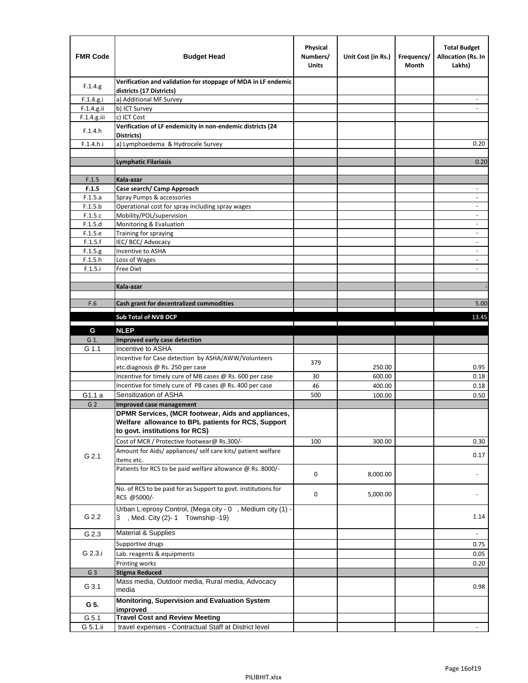| <b>FMR Code</b> | <b>Budget Head</b>                                                                                       | Physical<br>Numbers/<br><b>Units</b> | Unit Cost (in Rs.)                                                              | Frequency/<br>Month                             | <b>Total Budget</b><br>Allocation (Rs. In<br>Lakhs) |
|-----------------|----------------------------------------------------------------------------------------------------------|--------------------------------------|---------------------------------------------------------------------------------|-------------------------------------------------|-----------------------------------------------------|
| F.1.4.g.        | Verification and validation for stoppage of MDA in LF endemic<br>districts (17 Districts)                |                                      |                                                                                 |                                                 |                                                     |
| F.1.4.g.i       | a) Additional MF Survey                                                                                  |                                      |                                                                                 |                                                 |                                                     |
| F.1.4.g.ii      | b) ICT Survey                                                                                            |                                      |                                                                                 |                                                 |                                                     |
| F.1.4.g.iii     | c) ICT Cost                                                                                              |                                      |                                                                                 |                                                 |                                                     |
| F.1.4.h         | Verification of LF endemicity in non-endemic districts (24<br>Districts)                                 |                                      |                                                                                 |                                                 |                                                     |
| F.1.4.h.i       | a) Lymphoedema & Hydrocele Survey                                                                        |                                      |                                                                                 |                                                 | 0.20                                                |
|                 | <b>Lymphatic Filariasis</b>                                                                              |                                      |                                                                                 |                                                 | 0.20                                                |
|                 |                                                                                                          |                                      |                                                                                 |                                                 |                                                     |
| F.1.5           | Kala-azar                                                                                                |                                      |                                                                                 |                                                 |                                                     |
| F.1.5           | Case search/ Camp Approach                                                                               |                                      |                                                                                 |                                                 | $\overline{\phantom{a}}$                            |
| F.1.5.a         | Spray Pumps & accessories                                                                                |                                      |                                                                                 |                                                 | ٠                                                   |
| F.1.5.b         | Operational cost for spray including spray wages                                                         |                                      |                                                                                 |                                                 |                                                     |
| F.1.5.c         | Mobility/POL/supervision                                                                                 |                                      |                                                                                 |                                                 | $\blacksquare$                                      |
| F.1.5.d         | Monitoring & Evaluation                                                                                  |                                      |                                                                                 |                                                 | $\overline{\phantom{a}}$                            |
| F.1.5.e         | Training for spraying                                                                                    |                                      |                                                                                 |                                                 | $\qquad \qquad \blacksquare$                        |
| F.1.5.f         | IEC/BCC/Advocacy                                                                                         |                                      |                                                                                 |                                                 |                                                     |
| F.1.5.g         | Incentive to ASHA                                                                                        |                                      |                                                                                 |                                                 | $\overline{\phantom{a}}$                            |
| F.1.5.h         | Loss of Wages                                                                                            |                                      |                                                                                 |                                                 | $\overline{\phantom{a}}$                            |
| F.1.5.i         | Free Diet                                                                                                |                                      |                                                                                 |                                                 |                                                     |
|                 |                                                                                                          |                                      |                                                                                 |                                                 |                                                     |
|                 | Kala-azar                                                                                                |                                      |                                                                                 |                                                 |                                                     |
| F.6             | Cash grant for decentralized commodities                                                                 |                                      |                                                                                 |                                                 | 5.00                                                |
|                 |                                                                                                          |                                      |                                                                                 |                                                 |                                                     |
|                 | Sub Total of NVB DCP                                                                                     |                                      | the contract of the contract of the contract of the contract of the contract of | the contract of the contract of<br>$\mathbf{I}$ | 13.45                                               |
| G               | <b>NLEP</b>                                                                                              |                                      |                                                                                 |                                                 |                                                     |
| G 1.            | Improved early case detection                                                                            |                                      |                                                                                 |                                                 |                                                     |
| G 1.1           | Incentive to ASHA                                                                                        |                                      |                                                                                 |                                                 |                                                     |
|                 | Incentive for Case detection by ASHA/AWW/Volunteers                                                      |                                      |                                                                                 |                                                 |                                                     |
|                 | etc.diagnosis @ Rs. 250 per case                                                                         | 379                                  | 250.00                                                                          |                                                 | 0.95                                                |
|                 | Incentive for timely cure of MB cases @ Rs. 600 per case                                                 | 30                                   | 600.00                                                                          |                                                 | 0.18                                                |
|                 | Incentive for timely cure of PB cases @ Rs. 400 per case                                                 | 46                                   | 400.00                                                                          |                                                 | 0.18                                                |
| G1.1 a          | Sensitization of ASHA                                                                                    | 500                                  | 100.00                                                                          |                                                 | 0.50                                                |
| G <sub>2</sub>  | <b>Improved case management</b>                                                                          |                                      |                                                                                 |                                                 |                                                     |
|                 | DPMR Services, (MCR footwear, Aids and appliances,<br>Welfare allowance to BPL patients for RCS, Support |                                      |                                                                                 |                                                 |                                                     |
|                 | to govt. institutions for RCS)                                                                           |                                      |                                                                                 |                                                 |                                                     |
|                 | Cost of MCR / Protective footwear@ Rs.300/-                                                              | 100                                  | 300.00                                                                          |                                                 | 0.30                                                |
|                 | Amount for Aids/ appliances/ self care kits/ patient welfare                                             |                                      |                                                                                 |                                                 |                                                     |
| G 2.1           | items etc.                                                                                               |                                      |                                                                                 |                                                 | 0.17                                                |
|                 | Patients for RCS to be paid welfare allowance @ Rs. 8000/-                                               | 0                                    | 8,000.00                                                                        |                                                 |                                                     |
|                 | No. of RCS to be paid for as Support to govt. institutions for<br>RCS @5000/-                            | 0                                    | 5,000.00                                                                        |                                                 |                                                     |
| G 2.2           | Urban L:eprosy Control, (Mega city - 0, Medium city (1) -<br>3 , Med. City (2)-1 Township -19)           |                                      |                                                                                 |                                                 | 1.14                                                |
| G 2.3           | Material & Supplies                                                                                      |                                      |                                                                                 |                                                 | $\sim$                                              |
|                 | Supportive drugs                                                                                         |                                      |                                                                                 |                                                 | 0.75                                                |
| G 2.3.i         | Lab. reagents & equipments                                                                               |                                      |                                                                                 |                                                 | 0.05                                                |
|                 | Printing works                                                                                           |                                      |                                                                                 |                                                 | 0.20                                                |
| G <sub>3</sub>  | <b>Stigma Reduced</b>                                                                                    |                                      |                                                                                 |                                                 |                                                     |
|                 | Mass media, Outdoor media, Rural media, Advocacy                                                         |                                      |                                                                                 |                                                 |                                                     |
| G 3.1           | media                                                                                                    |                                      |                                                                                 |                                                 | 0.98                                                |
| G 5.            | Monitoring, Supervision and Evaluation System<br>improved                                                |                                      |                                                                                 |                                                 |                                                     |
| G 5.1           | <b>Travel Cost and Review Meeting</b>                                                                    |                                      |                                                                                 |                                                 |                                                     |
| G 5.1.ii        | travel expenses - Contractual Staff at District level                                                    |                                      |                                                                                 |                                                 | -                                                   |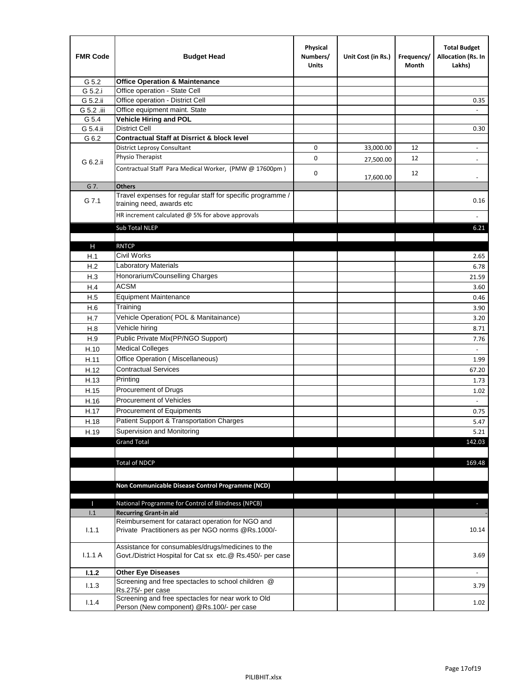| <b>FMR Code</b> | <b>Budget Head</b>                                                                                    | Physical<br>Numbers/<br><b>Units</b> | Unit Cost (in Rs.) | Frequency/<br>Month | <b>Total Budget</b><br>Allocation (Rs. In<br>Lakhs) |
|-----------------|-------------------------------------------------------------------------------------------------------|--------------------------------------|--------------------|---------------------|-----------------------------------------------------|
| G 5.2           | <b>Office Operation &amp; Maintenance</b>                                                             |                                      |                    |                     |                                                     |
| G 5.2.i         | Office operation - State Cell                                                                         |                                      |                    |                     |                                                     |
| G 5.2.ii        | Office operation - District Cell                                                                      |                                      |                    |                     | 0.35                                                |
| G 5.2 .iii      | Office equipment maint. State                                                                         |                                      |                    |                     |                                                     |
| G 5.4           | <b>Vehicle Hiring and POL</b>                                                                         |                                      |                    |                     |                                                     |
| G 5.4.ii        | <b>District Cell</b>                                                                                  |                                      |                    |                     | 0.30                                                |
| G 6.2           | <b>Contractual Staff at Disrrict &amp; block level</b>                                                |                                      |                    |                     |                                                     |
|                 | <b>District Leprosy Consultant</b>                                                                    | 0                                    | 33,000.00          | 12                  |                                                     |
| G 6.2.ii        | Physio Therapist                                                                                      | 0                                    | 27,500.00          | 12                  |                                                     |
|                 | Contractual Staff Para Medical Worker, (PMW @ 17600pm)                                                | 0                                    | 17,600.00          | 12                  | $\overline{\phantom{a}}$                            |
| G 7.            | <b>Others</b>                                                                                         |                                      |                    |                     |                                                     |
| G 7.1           | Travel expenses for regular staff for specific programme /<br>training need, awards etc               |                                      |                    |                     | 0.16                                                |
|                 | HR increment calculated $@$ 5% for above approvals                                                    |                                      |                    |                     |                                                     |
|                 | Sub Total NLEP                                                                                        |                                      |                    |                     | 6.21                                                |
|                 |                                                                                                       |                                      |                    |                     |                                                     |
| Н               | <b>RNTCP</b>                                                                                          |                                      |                    |                     |                                                     |
| H.1             | Civil Works                                                                                           |                                      |                    |                     | 2.65                                                |
| H.2             | Laboratory Materials                                                                                  |                                      |                    |                     | 6.78                                                |
| H.3             | Honorarium/Counselling Charges                                                                        |                                      |                    |                     | 21.59                                               |
| H.4             | <b>ACSM</b>                                                                                           |                                      |                    |                     | 3.60                                                |
| H.5             | <b>Equipment Maintenance</b>                                                                          |                                      |                    |                     | 0.46                                                |
| H.6             | Training                                                                                              |                                      |                    |                     | 3.90                                                |
| H.7             | Vehicle Operation(POL & Manitainance)                                                                 |                                      |                    |                     | 3.20                                                |
| H.8             | Vehicle hiring                                                                                        |                                      |                    |                     | 8.71                                                |
| H.9             | Public Private Mix(PP/NGO Support)                                                                    |                                      |                    |                     | 7.76                                                |
| H.10            | <b>Medical Colleges</b>                                                                               |                                      |                    |                     |                                                     |
| H.11            | Office Operation (Miscellaneous)                                                                      |                                      |                    |                     | 1.99                                                |
| H.12            | <b>Contractual Services</b>                                                                           |                                      |                    |                     | 67.20                                               |
| H.13            | Printing                                                                                              |                                      |                    |                     | 1.73                                                |
| H.15            | Procurement of Drugs                                                                                  |                                      |                    |                     | 1.02                                                |
| H.16            | Procurement of Vehicles                                                                               |                                      |                    |                     | $\sim$                                              |
| H.17            | Procurement of Equipments                                                                             |                                      |                    |                     | 0.75                                                |
| H.18            | Patient Support & Transportation Charges                                                              |                                      |                    |                     | 5.47                                                |
| H.19            | Supervision and Monitoring                                                                            |                                      |                    |                     | 5.21                                                |
|                 | <b>Grand Total</b>                                                                                    |                                      |                    |                     | 142.03                                              |
|                 |                                                                                                       |                                      |                    |                     |                                                     |
|                 | <b>Total of NDCP</b>                                                                                  |                                      |                    |                     | 169.48                                              |
|                 |                                                                                                       |                                      |                    |                     |                                                     |
|                 | Non Communicable Disease Control Programme (NCD)                                                      |                                      |                    |                     |                                                     |
|                 |                                                                                                       |                                      |                    |                     |                                                     |
| Т               | National Programme for Control of Blindness (NPCB)                                                    |                                      |                    |                     | ÷.                                                  |
| 1.1             | <b>Recurring Grant-in aid</b>                                                                         |                                      |                    |                     |                                                     |
| 1.1.1           | Reimbursement for cataract operation for NGO and<br>Private Practitioners as per NGO norms @Rs.1000/- |                                      |                    |                     | 10.14                                               |
|                 | Assistance for consumables/drugs/medicines to the                                                     |                                      |                    |                     |                                                     |
| 1.1.1A          | Govt./District Hospital for Cat sx etc.@ Rs.450/- per case                                            |                                      |                    |                     | 3.69                                                |
| 1.1.2           | <b>Other Eye Diseases</b>                                                                             |                                      |                    |                     |                                                     |
| 1.1.3           | Screening and free spectacles to school children @                                                    |                                      |                    |                     | 3.79                                                |
|                 | Rs.275/- per case<br>Screening and free spectacles for near work to Old                               |                                      |                    |                     |                                                     |
| 1.1.4           | Person (New component) @Rs.100/- per case                                                             |                                      |                    |                     | 1.02                                                |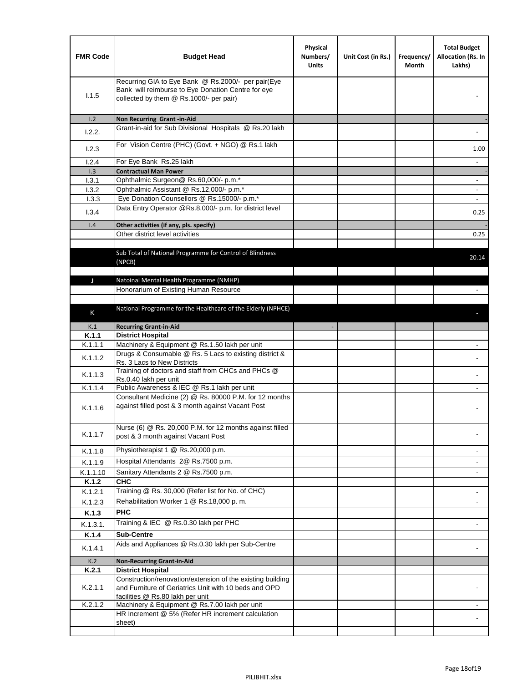| <b>FMR Code</b> | <b>Budget Head</b>                                                                                                                                      | Physical<br>Numbers/<br><b>Units</b> | Unit Cost (in Rs.) | Frequency/<br>Month | <b>Total Budget</b><br>Allocation (Rs. In<br>Lakhs) |
|-----------------|---------------------------------------------------------------------------------------------------------------------------------------------------------|--------------------------------------|--------------------|---------------------|-----------------------------------------------------|
| 1.1.5           | Recurring GIA to Eye Bank @ Rs.2000/- per pair(Eye<br>Bank will reimburse to Eye Donation Centre for eye<br>collected by them @ Rs.1000/- per pair)     |                                      |                    |                     |                                                     |
| 1.2             | Non Recurring Grant -in-Aid                                                                                                                             |                                      |                    |                     |                                                     |
| 1.2.2.          | Grant-in-aid for Sub Divisional Hospitals @ Rs.20 lakh                                                                                                  |                                      |                    |                     |                                                     |
| 1.2.3           | For Vision Centre (PHC) (Govt. + NGO) @ Rs.1 lakh                                                                                                       |                                      |                    |                     | 1.00                                                |
| 1.2.4           | For Eye Bank Rs.25 lakh                                                                                                                                 |                                      |                    |                     | $\blacksquare$                                      |
| 1.3             | <b>Contractual Man Power</b>                                                                                                                            |                                      |                    |                     |                                                     |
| 1.3.1           | Ophthalmic Surgeon@ Rs.60,000/- p.m.*                                                                                                                   |                                      |                    |                     | $\overline{\phantom{a}}$                            |
| 1.3.2           | Ophthalmic Assistant @ Rs.12,000/- p.m.*                                                                                                                |                                      |                    |                     |                                                     |
| 1.3.3           | Eye Donation Counsellors @ Rs.15000/- p.m.*<br>Data Entry Operator @Rs.8,000/- p.m. for district level                                                  |                                      |                    |                     | $\omega$                                            |
| 1.3.4           |                                                                                                                                                         |                                      |                    |                     | 0.25                                                |
| 1.4             | Other activities (if any, pls. specify)<br>Other district level activities                                                                              |                                      |                    |                     |                                                     |
|                 |                                                                                                                                                         |                                      |                    |                     | 0.25                                                |
|                 | Sub Total of National Programme for Control of Blindness<br>(NPCB)                                                                                      |                                      |                    |                     | 20.14                                               |
| J               | Natoinal Mental Health Programme (NMHP)                                                                                                                 |                                      |                    |                     |                                                     |
|                 | Honorarium of Existing Human Resource                                                                                                                   |                                      |                    |                     |                                                     |
|                 |                                                                                                                                                         |                                      |                    |                     |                                                     |
|                 | National Programme for the Healthcare of the Elderly (NPHCE)                                                                                            |                                      |                    |                     |                                                     |
| Κ               |                                                                                                                                                         |                                      |                    |                     |                                                     |
| K.1             | <b>Recurring Grant-in-Aid</b>                                                                                                                           |                                      |                    |                     |                                                     |
| K.1.1           | <b>District Hospital</b>                                                                                                                                |                                      |                    |                     |                                                     |
| K.1.1.1         | Machinery & Equipment @ Rs.1.50 lakh per unit                                                                                                           |                                      |                    |                     |                                                     |
| K.1.1.2         | Drugs & Consumable @ Rs. 5 Lacs to existing district &<br>Rs. 3 Lacs to New Districts                                                                   |                                      |                    |                     |                                                     |
| K.1.1.3         | Training of doctors and staff from CHCs and PHCs @<br>Rs.0.40 lakh per unit                                                                             |                                      |                    |                     |                                                     |
| K.1.1.4         | Public Awareness & IEC @ Rs.1 lakh per unit                                                                                                             |                                      |                    |                     |                                                     |
| K.1.1.6         | Consultant Medicine (2) @ Rs. 80000 P.M. for 12 months<br>against filled post & 3 month against Vacant Post                                             |                                      |                    |                     |                                                     |
| K.1.1.7         | Nurse (6) @ Rs. 20,000 P.M. for 12 months against filled<br>post & 3 month against Vacant Post                                                          |                                      |                    |                     |                                                     |
| K.1.1.8         | Physiotherapist 1 @ Rs.20,000 p.m.                                                                                                                      |                                      |                    |                     |                                                     |
| K.1.1.9         | Hospital Attendants 2@ Rs.7500 p.m.                                                                                                                     |                                      |                    |                     |                                                     |
| K.1.1.10        | Sanitary Attendants 2 @ Rs.7500 p.m.                                                                                                                    |                                      |                    |                     | $\overline{\phantom{a}}$                            |
| K.1.2           | <b>CHC</b>                                                                                                                                              |                                      |                    |                     |                                                     |
| K.1.2.1         | Training @ Rs. 30,000 (Refer list for No. of CHC)                                                                                                       |                                      |                    |                     |                                                     |
| K.1.2.3         | Rehabilitation Worker 1 @ Rs.18,000 p.m.                                                                                                                |                                      |                    |                     | $\overline{\phantom{a}}$                            |
| K.1.3           | <b>PHC</b>                                                                                                                                              |                                      |                    |                     |                                                     |
|                 |                                                                                                                                                         |                                      |                    |                     |                                                     |
| K.1.3.1.        | Training & IEC @ Rs.0.30 lakh per PHC                                                                                                                   |                                      |                    |                     |                                                     |
| K.1.4           | <b>Sub-Centre</b>                                                                                                                                       |                                      |                    |                     |                                                     |
| K.1.4.1         | Aids and Appliances @ Rs.0.30 lakh per Sub-Centre                                                                                                       |                                      |                    |                     |                                                     |
| K.2             | <b>Non-Recurring Grant-in-Aid</b>                                                                                                                       |                                      |                    |                     |                                                     |
| K.2.1           | <b>District Hospital</b>                                                                                                                                |                                      |                    |                     |                                                     |
| K.2.1.1         | Construction/renovation/extension of the existing building<br>and Furniture of Geriatrics Unit with 10 beds and OPD<br>facilities @ Rs.80 lakh per unit |                                      |                    |                     |                                                     |
| K.2.1.2         | Machinery & Equipment @ Rs.7.00 lakh per unit                                                                                                           |                                      |                    |                     |                                                     |
|                 | HR Increment @ 5% (Refer HR increment calculation                                                                                                       |                                      |                    |                     |                                                     |
|                 | sheet)                                                                                                                                                  |                                      |                    |                     |                                                     |
|                 |                                                                                                                                                         |                                      |                    |                     |                                                     |